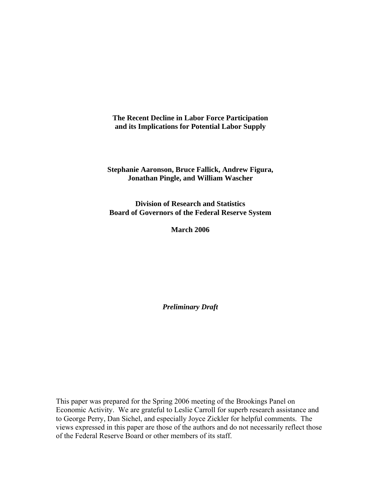**The Recent Decline in Labor Force Participation and its Implications for Potential Labor Supply** 

**Stephanie Aaronson, Bruce Fallick, Andrew Figura, Jonathan Pingle, and William Wascher** 

**Division of Research and Statistics Board of Governors of the Federal Reserve System** 

**March 2006** 

*Preliminary Draft*

This paper was prepared for the Spring 2006 meeting of the Brookings Panel on Economic Activity. We are grateful to Leslie Carroll for superb research assistance and to George Perry, Dan Sichel, and especially Joyce Zickler for helpful comments. The views expressed in this paper are those of the authors and do not necessarily reflect those of the Federal Reserve Board or other members of its staff.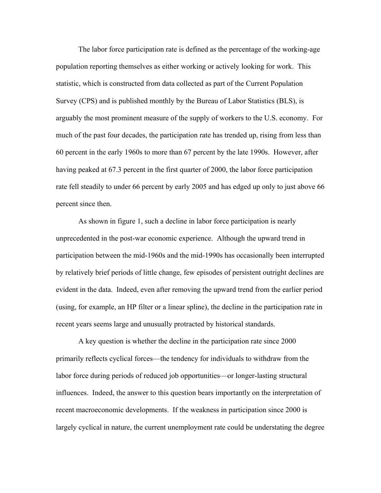The labor force participation rate is defined as the percentage of the working-age population reporting themselves as either working or actively looking for work. This statistic, which is constructed from data collected as part of the Current Population Survey (CPS) and is published monthly by the Bureau of Labor Statistics (BLS), is arguably the most prominent measure of the supply of workers to the U.S. economy. For much of the past four decades, the participation rate has trended up, rising from less than 60 percent in the early 1960s to more than 67 percent by the late 1990s. However, after having peaked at 67.3 percent in the first quarter of 2000, the labor force participation rate fell steadily to under 66 percent by early 2005 and has edged up only to just above 66 percent since then.

As shown in figure 1, such a decline in labor force participation is nearly unprecedented in the post-war economic experience. Although the upward trend in participation between the mid-1960s and the mid-1990s has occasionally been interrupted by relatively brief periods of little change, few episodes of persistent outright declines are evident in the data. Indeed, even after removing the upward trend from the earlier period (using, for example, an HP filter or a linear spline), the decline in the participation rate in recent years seems large and unusually protracted by historical standards.

 A key question is whether the decline in the participation rate since 2000 primarily reflects cyclical forces—the tendency for individuals to withdraw from the labor force during periods of reduced job opportunities—or longer-lasting structural influences. Indeed, the answer to this question bears importantly on the interpretation of recent macroeconomic developments. If the weakness in participation since 2000 is largely cyclical in nature, the current unemployment rate could be understating the degree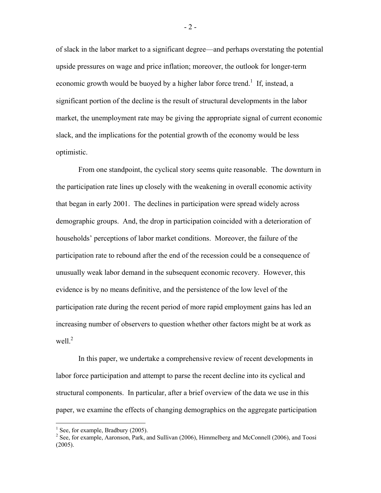of slack in the labor market to a significant degree—and perhaps overstating the potential upside pressures on wage and price inflation; moreover, the outlook for longer-term economic growth would be buoyed by a higher labor force trend.<sup>1</sup> If, instead, a significant portion of the decline is the result of structural developments in the labor market, the unemployment rate may be giving the appropriate signal of current economic slack, and the implications for the potential growth of the economy would be less optimistic.

 From one standpoint, the cyclical story seems quite reasonable. The downturn in the participation rate lines up closely with the weakening in overall economic activity that began in early 2001. The declines in participation were spread widely across demographic groups. And, the drop in participation coincided with a deterioration of households' perceptions of labor market conditions. Moreover, the failure of the participation rate to rebound after the end of the recession could be a consequence of unusually weak labor demand in the subsequent economic recovery. However, this evidence is by no means definitive, and the persistence of the low level of the participation rate during the recent period of more rapid employment gains has led an increasing number of observers to question whether other factors might be at work as well. $^{2}$ 

In this paper, we undertake a comprehensive review of recent developments in labor force participation and attempt to parse the recent decline into its cyclical and structural components. In particular, after a brief overview of the data we use in this paper, we examine the effects of changing demographics on the aggregate participation

1

- 2 -

 $<sup>1</sup>$  See, for example, Bradbury (2005).</sup>

 $2^2$  See, for example, Aaronson, Park, and Sullivan (2006), Himmelberg and McConnell (2006), and Toosi (2005).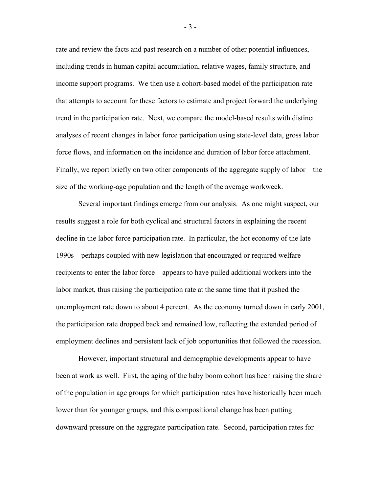rate and review the facts and past research on a number of other potential influences, including trends in human capital accumulation, relative wages, family structure, and income support programs. We then use a cohort-based model of the participation rate that attempts to account for these factors to estimate and project forward the underlying trend in the participation rate. Next, we compare the model-based results with distinct analyses of recent changes in labor force participation using state-level data, gross labor force flows, and information on the incidence and duration of labor force attachment. Finally, we report briefly on two other components of the aggregate supply of labor—the size of the working-age population and the length of the average workweek.

 Several important findings emerge from our analysis. As one might suspect, our results suggest a role for both cyclical and structural factors in explaining the recent decline in the labor force participation rate. In particular, the hot economy of the late 1990s—perhaps coupled with new legislation that encouraged or required welfare recipients to enter the labor force—appears to have pulled additional workers into the labor market, thus raising the participation rate at the same time that it pushed the unemployment rate down to about 4 percent. As the economy turned down in early 2001, the participation rate dropped back and remained low, reflecting the extended period of employment declines and persistent lack of job opportunities that followed the recession.

However, important structural and demographic developments appear to have been at work as well. First, the aging of the baby boom cohort has been raising the share of the population in age groups for which participation rates have historically been much lower than for younger groups, and this compositional change has been putting downward pressure on the aggregate participation rate. Second, participation rates for

- 3 -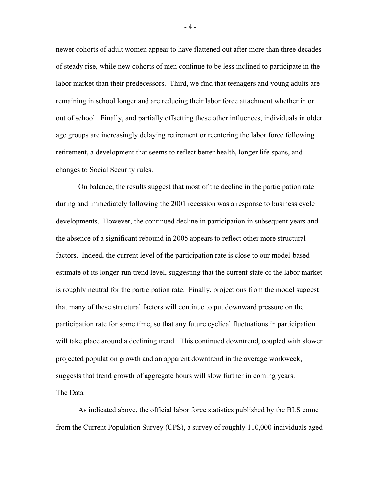newer cohorts of adult women appear to have flattened out after more than three decades of steady rise, while new cohorts of men continue to be less inclined to participate in the labor market than their predecessors. Third, we find that teenagers and young adults are remaining in school longer and are reducing their labor force attachment whether in or out of school. Finally, and partially offsetting these other influences, individuals in older age groups are increasingly delaying retirement or reentering the labor force following retirement, a development that seems to reflect better health, longer life spans, and changes to Social Security rules.

 On balance, the results suggest that most of the decline in the participation rate during and immediately following the 2001 recession was a response to business cycle developments. However, the continued decline in participation in subsequent years and the absence of a significant rebound in 2005 appears to reflect other more structural factors. Indeed, the current level of the participation rate is close to our model-based estimate of its longer-run trend level, suggesting that the current state of the labor market is roughly neutral for the participation rate. Finally, projections from the model suggest that many of these structural factors will continue to put downward pressure on the participation rate for some time, so that any future cyclical fluctuations in participation will take place around a declining trend. This continued downtrend, coupled with slower projected population growth and an apparent downtrend in the average workweek, suggests that trend growth of aggregate hours will slow further in coming years.

### The Data

 As indicated above, the official labor force statistics published by the BLS come from the Current Population Survey (CPS), a survey of roughly 110,000 individuals aged

- 4 -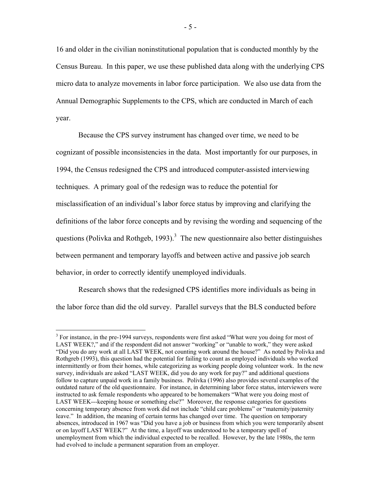16 and older in the civilian noninstitutional population that is conducted monthly by the Census Bureau. In this paper, we use these published data along with the underlying CPS micro data to analyze movements in labor force participation. We also use data from the Annual Demographic Supplements to the CPS, which are conducted in March of each year.

 Because the CPS survey instrument has changed over time, we need to be cognizant of possible inconsistencies in the data. Most importantly for our purposes, in 1994, the Census redesigned the CPS and introduced computer-assisted interviewing techniques. A primary goal of the redesign was to reduce the potential for misclassification of an individual's labor force status by improving and clarifying the definitions of the labor force concepts and by revising the wording and sequencing of the questions (Polivka and Rothgeb, 1993).<sup>3</sup> The new questionnaire also better distinguishes between permanent and temporary layoffs and between active and passive job search behavior, in order to correctly identify unemployed individuals.

 Research shows that the redesigned CPS identifies more individuals as being in the labor force than did the old survey. Parallel surveys that the BLS conducted before

1

<sup>&</sup>lt;sup>3</sup> For instance, in the pre-1994 surveys, respondents were first asked "What were you doing for most of LAST WEEK?," and if the respondent did not answer "working" or "unable to work," they were asked "Did you do any work at all LAST WEEK, not counting work around the house?" As noted by Polivka and Rothgreb (1993), this question had the potential for failing to count as employed individuals who worked intermittently or from their homes, while categorizing as working people doing volunteer work. In the new survey, individuals are asked "LAST WEEK, did you do any work for pay?" and additional questions follow to capture unpaid work in a family business. Polivka (1996) also provides several examples of the outdated nature of the old questionnaire. For instance, in determining labor force status, interviewers were instructed to ask female respondents who appeared to be homemakers "What were you doing most of LAST WEEK---keeping house or something else?" Moreover, the response categories for questions concerning temporary absence from work did not include "child care problems" or "maternity/paternity leave." In addition, the meaning of certain terms has changed over time. The question on temporary absences, introduced in 1967 was "Did you have a job or business from which you were temporarily absent or on layoff LAST WEEK?" At the time, a layoff was understood to be a temporary spell of unemployment from which the individual expected to be recalled. However, by the late 1980s, the term had evolved to include a permanent separation from an employer.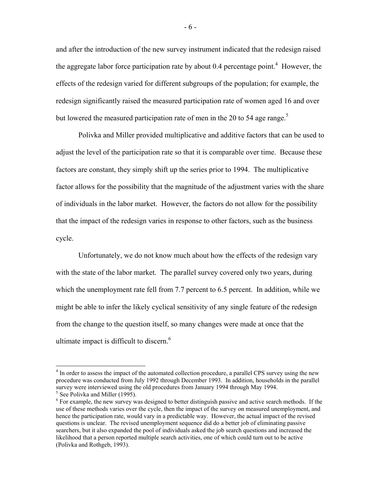and after the introduction of the new survey instrument indicated that the redesign raised the aggregate labor force participation rate by about 0.4 percentage point.<sup>4</sup> However, the effects of the redesign varied for different subgroups of the population; for example, the redesign significantly raised the measured participation rate of women aged 16 and over but lowered the measured participation rate of men in the 20 to 54 age range.<sup>5</sup>

 Polivka and Miller provided multiplicative and additive factors that can be used to adjust the level of the participation rate so that it is comparable over time. Because these factors are constant, they simply shift up the series prior to 1994. The multiplicative factor allows for the possibility that the magnitude of the adjustment varies with the share of individuals in the labor market. However, the factors do not allow for the possibility that the impact of the redesign varies in response to other factors, such as the business cycle.

 Unfortunately, we do not know much about how the effects of the redesign vary with the state of the labor market. The parallel survey covered only two years, during which the unemployment rate fell from 7.7 percent to 6.5 percent. In addition, while we might be able to infer the likely cyclical sensitivity of any single feature of the redesign from the change to the question itself, so many changes were made at once that the ultimate impact is difficult to discern. $<sup>6</sup>$ </sup>

 $\overline{a}$ 

<sup>&</sup>lt;sup>4</sup> In order to assess the impact of the automated collection procedure, a parallel CPS survey using the new procedure was conducted from July 1992 through December 1993. In addition, households in the parallel survey were interviewed using the old procedures from January 1994 through May 1994. <sup>5</sup> See Polivka and Miller (1995).

 $6$  For example, the new survey was designed to better distinguish passive and active search methods. If the use of these methods varies over the cycle, then the impact of the survey on measured unemployment, and hence the participation rate, would vary in a predictable way. However, the actual impact of the revised questions is unclear. The revised unemployment sequence did do a better job of eliminating passive searchers, but it also expanded the pool of individuals asked the job search questions and increased the likelihood that a person reported multiple search activities, one of which could turn out to be active (Polivka and Rothgeb, 1993).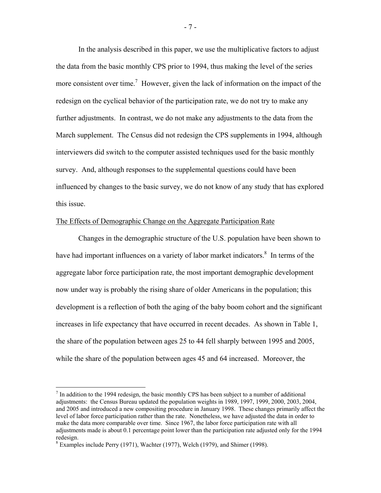In the analysis described in this paper, we use the multiplicative factors to adjust the data from the basic monthly CPS prior to 1994, thus making the level of the series more consistent over time.<sup>7</sup> However, given the lack of information on the impact of the redesign on the cyclical behavior of the participation rate, we do not try to make any further adjustments. In contrast, we do not make any adjustments to the data from the March supplement. The Census did not redesign the CPS supplements in 1994, although interviewers did switch to the computer assisted techniques used for the basic monthly survey. And, although responses to the supplemental questions could have been influenced by changes to the basic survey, we do not know of any study that has explored this issue.

### The Effects of Demographic Change on the Aggregate Participation Rate

 Changes in the demographic structure of the U.S. population have been shown to have had important influences on a variety of labor market indicators.<sup>8</sup> In terms of the aggregate labor force participation rate, the most important demographic development now under way is probably the rising share of older Americans in the population; this development is a reflection of both the aging of the baby boom cohort and the significant increases in life expectancy that have occurred in recent decades. As shown in Table 1, the share of the population between ages 25 to 44 fell sharply between 1995 and 2005, while the share of the population between ages 45 and 64 increased. Moreover, the

1

 $<sup>7</sup>$  In addition to the 1994 redesign, the basic monthly CPS has been subject to a number of additional</sup> adjustments: the Census Bureau updated the population weights in 1989, 1997, 1999, 2000, 2003, 2004, and 2005 and introduced a new compositing procedure in January 1998. These changes primarily affect the level of labor force participation rather than the rate. Nonetheless, we have adjusted the data in order to make the data more comparable over time. Since 1967, the labor force participation rate with all adjustments made is about 0.1 percentage point lower than the participation rate adjusted only for the 1994 redesign.

<sup>&</sup>lt;sup>8</sup> Examples include Perry (1971), Wachter (1977), Welch (1979), and Shimer (1998).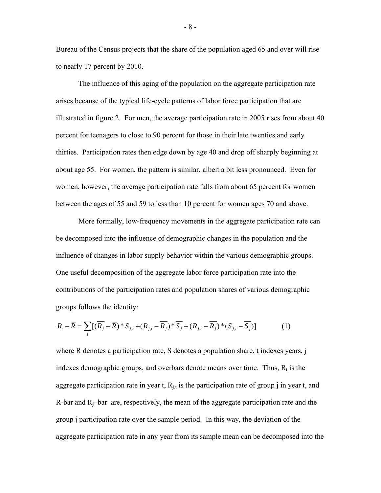Bureau of the Census projects that the share of the population aged 65 and over will rise to nearly 17 percent by 2010.

 The influence of this aging of the population on the aggregate participation rate arises because of the typical life-cycle patterns of labor force participation that are illustrated in figure 2. For men, the average participation rate in 2005 rises from about 40 percent for teenagers to close to 90 percent for those in their late twenties and early thirties. Participation rates then edge down by age 40 and drop off sharply beginning at about age 55. For women, the pattern is similar, albeit a bit less pronounced. Even for women, however, the average participation rate falls from about 65 percent for women between the ages of 55 and 59 to less than 10 percent for women ages 70 and above.

 More formally, low-frequency movements in the aggregate participation rate can be decomposed into the influence of demographic changes in the population and the influence of changes in labor supply behavior within the various demographic groups. One useful decomposition of the aggregate labor force participation rate into the contributions of the participation rates and population shares of various demographic groups follows the identity:

$$
R_t - \overline{R} = \sum_j \left[ (\overline{R_j} - \overline{R})^* S_{j,t} + (R_{j,t} - \overline{R_j})^* \overline{S_j} + (R_{j,t} - \overline{R_j})^* (S_{j,t} - \overline{S_j}) \right]
$$
(1)

where R denotes a participation rate, S denotes a population share, t indexes years, j indexes demographic groups, and overbars denote means over time. Thus,  $R_t$  is the aggregate participation rate in year t,  $R_{i,t}$  is the participation rate of group j in year t, and R-bar and  $R_i$ -bar are, respectively, the mean of the aggregate participation rate and the group j participation rate over the sample period. In this way, the deviation of the aggregate participation rate in any year from its sample mean can be decomposed into the

- 8 -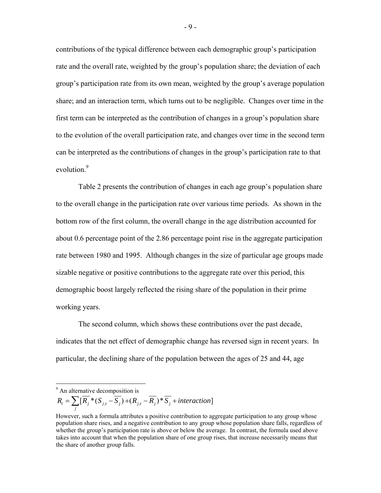contributions of the typical difference between each demographic group's participation rate and the overall rate, weighted by the group's population share; the deviation of each group's participation rate from its own mean, weighted by the group's average population share; and an interaction term, which turns out to be negligible. Changes over time in the first term can be interpreted as the contribution of changes in a group's population share to the evolution of the overall participation rate, and changes over time in the second term can be interpreted as the contributions of changes in the group's participation rate to that evolution.<sup>9</sup>

 Table 2 presents the contribution of changes in each age group's population share to the overall change in the participation rate over various time periods. As shown in the bottom row of the first column, the overall change in the age distribution accounted for about 0.6 percentage point of the 2.86 percentage point rise in the aggregate participation rate between 1980 and 1995. Although changes in the size of particular age groups made sizable negative or positive contributions to the aggregate rate over this period, this demographic boost largely reflected the rising share of the population in their prime working years.

 The second column, which shows these contributions over the past decade, indicates that the net effect of demographic change has reversed sign in recent years. In particular, the declining share of the population between the ages of 25 and 44, age

<sup>9</sup> An alternative decomposition is

 $S_{t} = \sum [R_{j} * (S_{j,t} - S_{j}) + (R_{j,t} - R_{j}) * S_{j} + interaction]$  $R_i = \sum_j [\overline{R}_j^**(S_{j,t} - \overline{S}_j) + (R_{j,t} - \overline{R}_j^*)^* \overline{S}_j + interaction$ 

However, such a formula attributes a positive contribution to aggregate participation to any group whose population share rises, and a negative contribution to any group whose population share falls, regardless of whether the group's participation rate is above or below the average. In contrast, the formula used above takes into account that when the population share of one group rises, that increase necessarily means that the share of another group falls.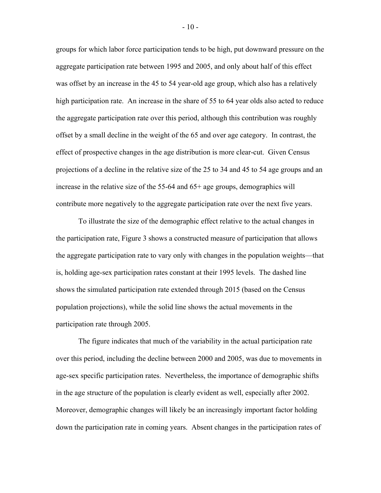groups for which labor force participation tends to be high, put downward pressure on the aggregate participation rate between 1995 and 2005, and only about half of this effect was offset by an increase in the 45 to 54 year-old age group, which also has a relatively high participation rate. An increase in the share of 55 to 64 year olds also acted to reduce the aggregate participation rate over this period, although this contribution was roughly offset by a small decline in the weight of the 65 and over age category. In contrast, the effect of prospective changes in the age distribution is more clear-cut. Given Census projections of a decline in the relative size of the 25 to 34 and 45 to 54 age groups and an increase in the relative size of the 55-64 and 65+ age groups, demographics will contribute more negatively to the aggregate participation rate over the next five years.

 To illustrate the size of the demographic effect relative to the actual changes in the participation rate, Figure 3 shows a constructed measure of participation that allows the aggregate participation rate to vary only with changes in the population weights—that is, holding age-sex participation rates constant at their 1995 levels. The dashed line shows the simulated participation rate extended through 2015 (based on the Census population projections), while the solid line shows the actual movements in the participation rate through 2005.

 The figure indicates that much of the variability in the actual participation rate over this period, including the decline between 2000 and 2005, was due to movements in age-sex specific participation rates. Nevertheless, the importance of demographic shifts in the age structure of the population is clearly evident as well, especially after 2002. Moreover, demographic changes will likely be an increasingly important factor holding down the participation rate in coming years. Absent changes in the participation rates of

- 10 -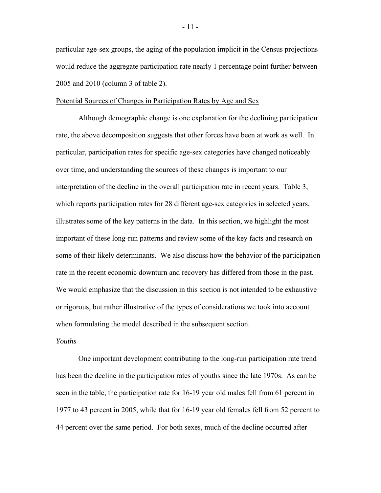particular age-sex groups, the aging of the population implicit in the Census projections would reduce the aggregate participation rate nearly 1 percentage point further between 2005 and 2010 (column 3 of table 2).

### Potential Sources of Changes in Participation Rates by Age and Sex

 Although demographic change is one explanation for the declining participation rate, the above decomposition suggests that other forces have been at work as well. In particular, participation rates for specific age-sex categories have changed noticeably over time, and understanding the sources of these changes is important to our interpretation of the decline in the overall participation rate in recent years. Table 3, which reports participation rates for 28 different age-sex categories in selected years, illustrates some of the key patterns in the data. In this section, we highlight the most important of these long-run patterns and review some of the key facts and research on some of their likely determinants. We also discuss how the behavior of the participation rate in the recent economic downturn and recovery has differed from those in the past. We would emphasize that the discussion in this section is not intended to be exhaustive or rigorous, but rather illustrative of the types of considerations we took into account when formulating the model described in the subsequent section.

## *Youths*

One important development contributing to the long-run participation rate trend has been the decline in the participation rates of youths since the late 1970s. As can be seen in the table, the participation rate for 16-19 year old males fell from 61 percent in 1977 to 43 percent in 2005, while that for 16-19 year old females fell from 52 percent to 44 percent over the same period. For both sexes, much of the decline occurred after

- 11 -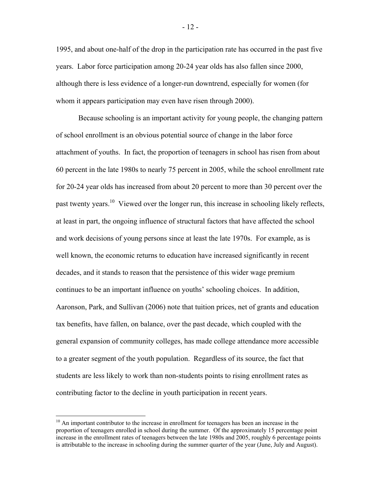1995, and about one-half of the drop in the participation rate has occurred in the past five years. Labor force participation among 20-24 year olds has also fallen since 2000, although there is less evidence of a longer-run downtrend, especially for women (for whom it appears participation may even have risen through 2000).

Because schooling is an important activity for young people, the changing pattern of school enrollment is an obvious potential source of change in the labor force attachment of youths. In fact, the proportion of teenagers in school has risen from about 60 percent in the late 1980s to nearly 75 percent in 2005, while the school enrollment rate for 20-24 year olds has increased from about 20 percent to more than 30 percent over the past twenty years.<sup>10</sup> Viewed over the longer run, this increase in schooling likely reflects, at least in part, the ongoing influence of structural factors that have affected the school and work decisions of young persons since at least the late 1970s. For example, as is well known, the economic returns to education have increased significantly in recent decades, and it stands to reason that the persistence of this wider wage premium continues to be an important influence on youths' schooling choices. In addition, Aaronson, Park, and Sullivan (2006) note that tuition prices, net of grants and education tax benefits, have fallen, on balance, over the past decade, which coupled with the general expansion of community colleges, has made college attendance more accessible to a greater segment of the youth population. Regardless of its source, the fact that students are less likely to work than non-students points to rising enrollment rates as contributing factor to the decline in youth participation in recent years.

 $\overline{a}$ 

 $10$  An important contributor to the increase in enrollment for teenagers has been an increase in the proportion of teenagers enrolled in school during the summer. Of the approximately 15 percentage point increase in the enrollment rates of teenagers between the late 1980s and 2005, roughly 6 percentage points is attributable to the increase in schooling during the summer quarter of the year (June, July and August).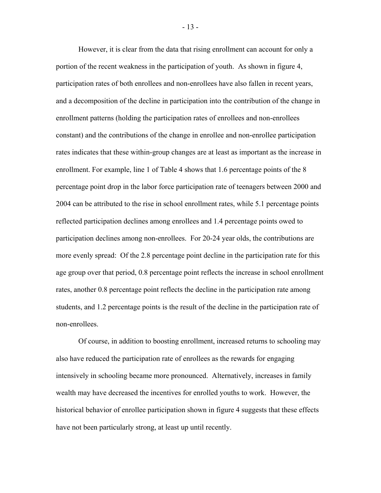However, it is clear from the data that rising enrollment can account for only a portion of the recent weakness in the participation of youth. As shown in figure 4, participation rates of both enrollees and non-enrollees have also fallen in recent years, and a decomposition of the decline in participation into the contribution of the change in enrollment patterns (holding the participation rates of enrollees and non-enrollees constant) and the contributions of the change in enrollee and non-enrollee participation rates indicates that these within-group changes are at least as important as the increase in enrollment. For example, line 1 of Table 4 shows that 1.6 percentage points of the 8 percentage point drop in the labor force participation rate of teenagers between 2000 and 2004 can be attributed to the rise in school enrollment rates, while 5.1 percentage points reflected participation declines among enrollees and 1.4 percentage points owed to participation declines among non-enrollees. For 20-24 year olds, the contributions are more evenly spread: Of the 2.8 percentage point decline in the participation rate for this age group over that period, 0.8 percentage point reflects the increase in school enrollment rates, another 0.8 percentage point reflects the decline in the participation rate among students, and 1.2 percentage points is the result of the decline in the participation rate of non-enrollees.

 Of course, in addition to boosting enrollment, increased returns to schooling may also have reduced the participation rate of enrollees as the rewards for engaging intensively in schooling became more pronounced. Alternatively, increases in family wealth may have decreased the incentives for enrolled youths to work. However, the historical behavior of enrollee participation shown in figure 4 suggests that these effects have not been particularly strong, at least up until recently.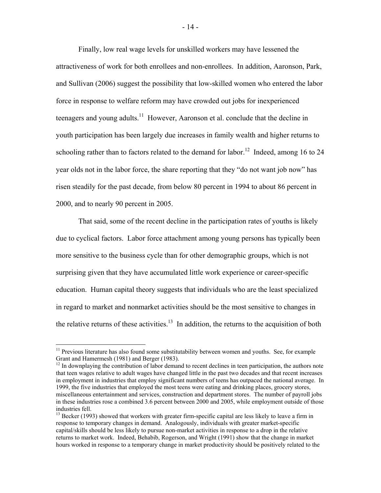Finally, low real wage levels for unskilled workers may have lessened the attractiveness of work for both enrollees and non-enrollees. In addition, Aaronson, Park, and Sullivan (2006) suggest the possibility that low-skilled women who entered the labor force in response to welfare reform may have crowded out jobs for inexperienced teenagers and young adults.<sup>11</sup> However, Aaronson et al. conclude that the decline in youth participation has been largely due increases in family wealth and higher returns to schooling rather than to factors related to the demand for labor.<sup>12</sup> Indeed, among 16 to 24 year olds not in the labor force, the share reporting that they "do not want job now" has risen steadily for the past decade, from below 80 percent in 1994 to about 86 percent in 2000, and to nearly 90 percent in 2005.

That said, some of the recent decline in the participation rates of youths is likely due to cyclical factors. Labor force attachment among young persons has typically been more sensitive to the business cycle than for other demographic groups, which is not surprising given that they have accumulated little work experience or career-specific education. Human capital theory suggests that individuals who are the least specialized in regard to market and nonmarket activities should be the most sensitive to changes in the relative returns of these activities.<sup>13</sup> In addition, the returns to the acquisition of both

 $\overline{a}$ 

<sup>&</sup>lt;sup>11</sup> Previous literature has also found some substitutability between women and youths. See, for example Grant and Hamermesh (1981) and Berger (1983).

<sup>&</sup>lt;sup>12</sup> In downplaying the contribution of labor demand to recent declines in teen participation, the authors note that teen wages relative to adult wages have changed little in the past two decades and that recent increases in employment in industries that employ significant numbers of teens has outpaced the national average. In 1999, the five industries that employed the most teens were eating and drinking places, grocery stores, miscellaneous entertainment and services, construction and department stores. The number of payroll jobs in these industries rose a combined 3.6 percent between 2000 and 2005, while employment outside of those industries fell.

 $13$  Becker (1993) showed that workers with greater firm-specific capital are less likely to leave a firm in response to temporary changes in demand. Analogously, individuals with greater market-specific capital/skills should be less likely to pursue non-market activities in response to a drop in the relative returns to market work. Indeed, Behabib, Rogerson, and Wright (1991) show that the change in market hours worked in response to a temporary change in market productivity should be positively related to the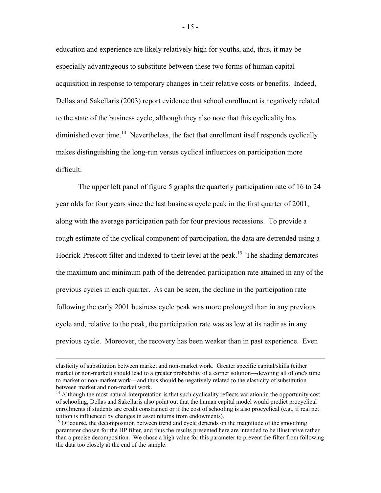education and experience are likely relatively high for youths, and, thus, it may be especially advantageous to substitute between these two forms of human capital acquisition in response to temporary changes in their relative costs or benefits. Indeed, Dellas and Sakellaris (2003) report evidence that school enrollment is negatively related to the state of the business cycle, although they also note that this cyclicality has diminished over time.<sup>14</sup> Nevertheless, the fact that enrollment itself responds cyclically makes distinguishing the long-run versus cyclical influences on participation more difficult.

The upper left panel of figure 5 graphs the quarterly participation rate of 16 to 24 year olds for four years since the last business cycle peak in the first quarter of 2001, along with the average participation path for four previous recessions. To provide a rough estimate of the cyclical component of participation, the data are detrended using a Hodrick-Prescott filter and indexed to their level at the peak.<sup>15</sup> The shading demarcates the maximum and minimum path of the detrended participation rate attained in any of the previous cycles in each quarter. As can be seen, the decline in the participation rate following the early 2001 business cycle peak was more prolonged than in any previous cycle and, relative to the peak, the participation rate was as low at its nadir as in any previous cycle. Moreover, the recovery has been weaker than in past experience. Even

elasticity of substitution between market and non-market work. Greater specific capital/skills (either market or non-market) should lead to a greater probability of a corner solution—devoting all of one's time to market or non-market work—and thus should be negatively related to the elasticity of substitution between market and non-market work.

 $14$  Although the most natural interpretation is that such cyclicality reflects variation in the opportunity cost of schooling, Dellas and Sakellaris also point out that the human capital model would predict procyclical enrollments if students are credit constrained or if the cost of schooling is also procyclical (e.g., if real net tuition is influenced by changes in asset returns from endowments).

<sup>&</sup>lt;sup>15</sup> Of course, the decomposition between trend and cycle depends on the magnitude of the smoothing parameter chosen for the HP filter, and thus the results presented here are intended to be illustrative rather than a precise decomposition. We chose a high value for this parameter to prevent the filter from following the data too closely at the end of the sample.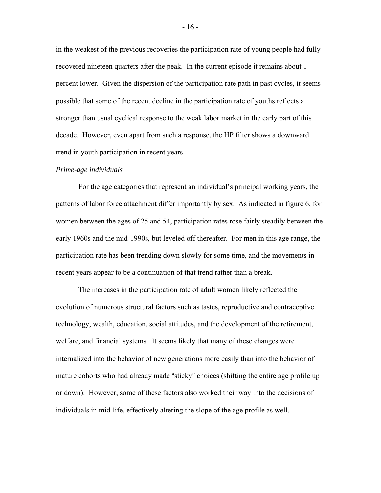in the weakest of the previous recoveries the participation rate of young people had fully recovered nineteen quarters after the peak. In the current episode it remains about 1 percent lower. Given the dispersion of the participation rate path in past cycles, it seems possible that some of the recent decline in the participation rate of youths reflects a stronger than usual cyclical response to the weak labor market in the early part of this decade. However, even apart from such a response, the HP filter shows a downward trend in youth participation in recent years.

#### *Prime-age individuals*

 For the age categories that represent an individual's principal working years, the patterns of labor force attachment differ importantly by sex. As indicated in figure 6, for women between the ages of 25 and 54, participation rates rose fairly steadily between the early 1960s and the mid-1990s, but leveled off thereafter. For men in this age range, the participation rate has been trending down slowly for some time, and the movements in recent years appear to be a continuation of that trend rather than a break.

 The increases in the participation rate of adult women likely reflected the evolution of numerous structural factors such as tastes, reproductive and contraceptive technology, wealth, education, social attitudes, and the development of the retirement, welfare, and financial systems. It seems likely that many of these changes were internalized into the behavior of new generations more easily than into the behavior of mature cohorts who had already made "sticky" choices (shifting the entire age profile up or down). However, some of these factors also worked their way into the decisions of individuals in mid-life, effectively altering the slope of the age profile as well.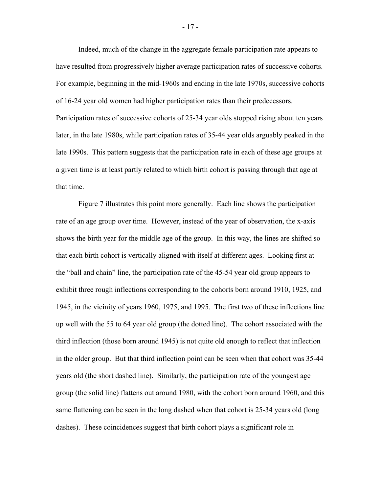Indeed, much of the change in the aggregate female participation rate appears to have resulted from progressively higher average participation rates of successive cohorts. For example, beginning in the mid-1960s and ending in the late 1970s, successive cohorts of 16-24 year old women had higher participation rates than their predecessors. Participation rates of successive cohorts of 25-34 year olds stopped rising about ten years later, in the late 1980s, while participation rates of 35-44 year olds arguably peaked in the late 1990s. This pattern suggests that the participation rate in each of these age groups at a given time is at least partly related to which birth cohort is passing through that age at that time.

 Figure 7 illustrates this point more generally. Each line shows the participation rate of an age group over time. However, instead of the year of observation, the x-axis shows the birth year for the middle age of the group. In this way, the lines are shifted so that each birth cohort is vertically aligned with itself at different ages. Looking first at the "ball and chain" line, the participation rate of the 45-54 year old group appears to exhibit three rough inflections corresponding to the cohorts born around 1910, 1925, and 1945, in the vicinity of years 1960, 1975, and 1995. The first two of these inflections line up well with the 55 to 64 year old group (the dotted line). The cohort associated with the third inflection (those born around 1945) is not quite old enough to reflect that inflection in the older group. But that third inflection point can be seen when that cohort was 35-44 years old (the short dashed line). Similarly, the participation rate of the youngest age group (the solid line) flattens out around 1980, with the cohort born around 1960, and this same flattening can be seen in the long dashed when that cohort is 25-34 years old (long dashes). These coincidences suggest that birth cohort plays a significant role in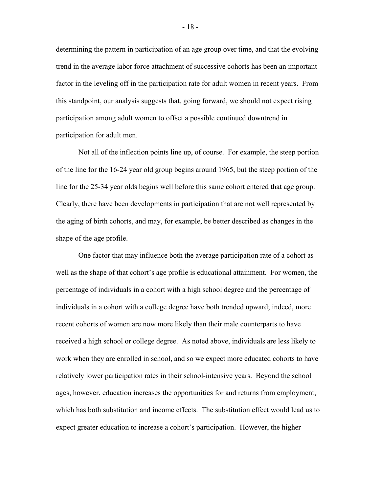determining the pattern in participation of an age group over time, and that the evolving trend in the average labor force attachment of successive cohorts has been an important factor in the leveling off in the participation rate for adult women in recent years. From this standpoint, our analysis suggests that, going forward, we should not expect rising participation among adult women to offset a possible continued downtrend in participation for adult men.

 Not all of the inflection points line up, of course. For example, the steep portion of the line for the 16-24 year old group begins around 1965, but the steep portion of the line for the 25-34 year olds begins well before this same cohort entered that age group. Clearly, there have been developments in participation that are not well represented by the aging of birth cohorts, and may, for example, be better described as changes in the shape of the age profile.

 One factor that may influence both the average participation rate of a cohort as well as the shape of that cohort's age profile is educational attainment. For women, the percentage of individuals in a cohort with a high school degree and the percentage of individuals in a cohort with a college degree have both trended upward; indeed, more recent cohorts of women are now more likely than their male counterparts to have received a high school or college degree. As noted above, individuals are less likely to work when they are enrolled in school, and so we expect more educated cohorts to have relatively lower participation rates in their school-intensive years. Beyond the school ages, however, education increases the opportunities for and returns from employment, which has both substitution and income effects. The substitution effect would lead us to expect greater education to increase a cohort's participation. However, the higher

- 18 -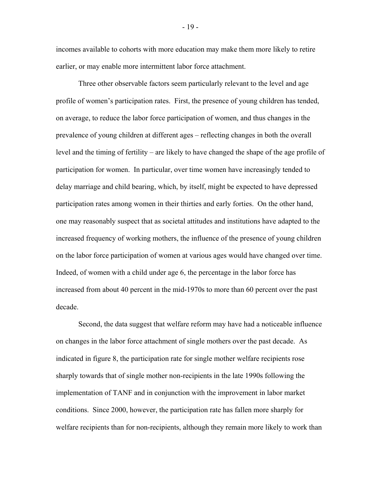incomes available to cohorts with more education may make them more likely to retire earlier, or may enable more intermittent labor force attachment.

 Three other observable factors seem particularly relevant to the level and age profile of women's participation rates. First, the presence of young children has tended, on average, to reduce the labor force participation of women, and thus changes in the prevalence of young children at different ages – reflecting changes in both the overall level and the timing of fertility – are likely to have changed the shape of the age profile of participation for women. In particular, over time women have increasingly tended to delay marriage and child bearing, which, by itself, might be expected to have depressed participation rates among women in their thirties and early forties. On the other hand, one may reasonably suspect that as societal attitudes and institutions have adapted to the increased frequency of working mothers, the influence of the presence of young children on the labor force participation of women at various ages would have changed over time. Indeed, of women with a child under age 6, the percentage in the labor force has increased from about 40 percent in the mid-1970s to more than 60 percent over the past decade.

 Second, the data suggest that welfare reform may have had a noticeable influence on changes in the labor force attachment of single mothers over the past decade. As indicated in figure 8, the participation rate for single mother welfare recipients rose sharply towards that of single mother non-recipients in the late 1990s following the implementation of TANF and in conjunction with the improvement in labor market conditions. Since 2000, however, the participation rate has fallen more sharply for welfare recipients than for non-recipients, although they remain more likely to work than

- 19 -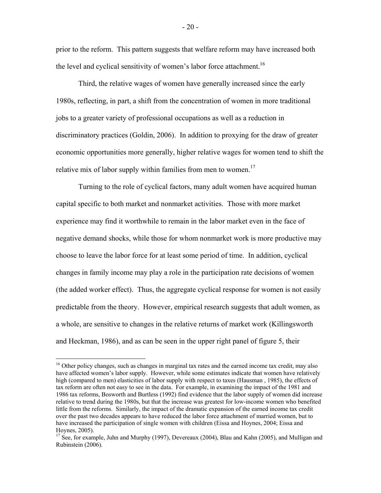prior to the reform. This pattern suggests that welfare reform may have increased both the level and cyclical sensitivity of women's labor force attachment.<sup>16</sup>

 Third, the relative wages of women have generally increased since the early 1980s, reflecting, in part, a shift from the concentration of women in more traditional jobs to a greater variety of professional occupations as well as a reduction in discriminatory practices (Goldin, 2006). In addition to proxying for the draw of greater economic opportunities more generally, higher relative wages for women tend to shift the relative mix of labor supply within families from men to women.<sup>17</sup>

 Turning to the role of cyclical factors, many adult women have acquired human capital specific to both market and nonmarket activities. Those with more market experience may find it worthwhile to remain in the labor market even in the face of negative demand shocks, while those for whom nonmarket work is more productive may choose to leave the labor force for at least some period of time. In addition, cyclical changes in family income may play a role in the participation rate decisions of women (the added worker effect). Thus, the aggregate cyclical response for women is not easily predictable from the theory. However, empirical research suggests that adult women, as a whole, are sensitive to changes in the relative returns of market work (Killingsworth and Heckman, 1986), and as can be seen in the upper right panel of figure 5, their

 $\overline{a}$ 

<sup>&</sup>lt;sup>16</sup> Other policy changes, such as changes in marginal tax rates and the earned income tax credit, may also have affected women's labor supply. However, while some estimates indicate that women have relatively high (compared to men) elasticities of labor supply with respect to taxes (Hausman , 1985), the effects of tax reform are often not easy to see in the data. For example, in examining the impact of the 1981 and 1986 tax reforms, Bosworth and Burtless (1992) find evidence that the labor supply of women did increase relative to trend during the 1980s, but that the increase was greatest for low-income women who benefited little from the reforms. Similarly, the impact of the dramatic expansion of the earned income tax credit over the past two decades appears to have reduced the labor force attachment of married women, but to have increased the participation of single women with children (Eissa and Hoynes, 2004; Eissa and Hoynes, 2005).

<sup>&</sup>lt;sup>17</sup> See, for example, Juhn and Murphy (1997), Devereaux (2004), Blau and Kahn (2005), and Mulligan and Rubinstein (2006).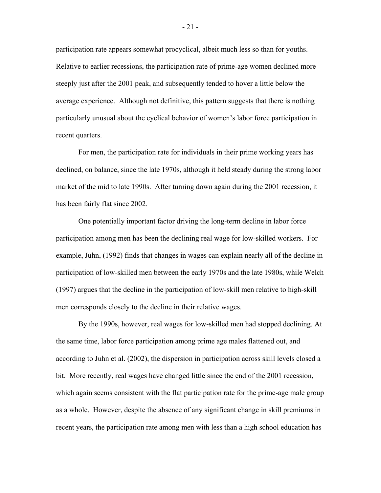participation rate appears somewhat procyclical, albeit much less so than for youths. Relative to earlier recessions, the participation rate of prime-age women declined more steeply just after the 2001 peak, and subsequently tended to hover a little below the average experience. Although not definitive, this pattern suggests that there is nothing particularly unusual about the cyclical behavior of women's labor force participation in recent quarters.

 For men, the participation rate for individuals in their prime working years has declined, on balance, since the late 1970s, although it held steady during the strong labor market of the mid to late 1990s. After turning down again during the 2001 recession, it has been fairly flat since 2002.

One potentially important factor driving the long-term decline in labor force participation among men has been the declining real wage for low-skilled workers. For example, Juhn, (1992) finds that changes in wages can explain nearly all of the decline in participation of low-skilled men between the early 1970s and the late 1980s, while Welch (1997) argues that the decline in the participation of low-skill men relative to high-skill men corresponds closely to the decline in their relative wages.

 By the 1990s, however, real wages for low-skilled men had stopped declining. At the same time, labor force participation among prime age males flattened out, and according to Juhn et al. (2002), the dispersion in participation across skill levels closed a bit. More recently, real wages have changed little since the end of the 2001 recession, which again seems consistent with the flat participation rate for the prime-age male group as a whole. However, despite the absence of any significant change in skill premiums in recent years, the participation rate among men with less than a high school education has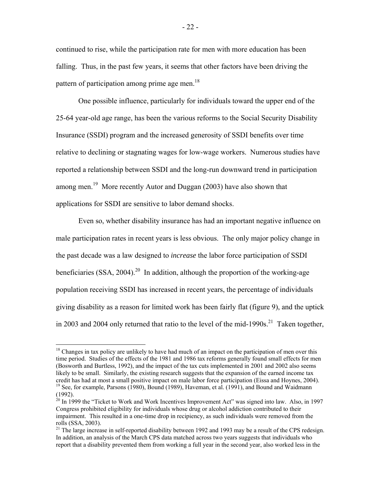continued to rise, while the participation rate for men with more education has been falling. Thus, in the past few years, it seems that other factors have been driving the pattern of participation among prime age men.<sup>18</sup>

 One possible influence, particularly for individuals toward the upper end of the 25-64 year-old age range, has been the various reforms to the Social Security Disability Insurance (SSDI) program and the increased generosity of SSDI benefits over time relative to declining or stagnating wages for low-wage workers. Numerous studies have reported a relationship between SSDI and the long-run downward trend in participation among men.<sup>19</sup> More recently Autor and Duggan (2003) have also shown that applications for SSDI are sensitive to labor demand shocks.

 Even so, whether disability insurance has had an important negative influence on male participation rates in recent years is less obvious. The only major policy change in the past decade was a law designed to *increase* the labor force participation of SSDI beneficiaries  $(SSA, 2004)$ <sup>20</sup> In addition, although the proportion of the working-age population receiving SSDI has increased in recent years, the percentage of individuals giving disability as a reason for limited work has been fairly flat (figure 9), and the uptick in 2003 and 2004 only returned that ratio to the level of the mid-1990s.<sup>21</sup> Taken together,

 $\overline{a}$ 

<sup>&</sup>lt;sup>18</sup> Changes in tax policy are unlikely to have had much of an impact on the participation of men over this time period. Studies of the effects of the 1981 and 1986 tax reforms generally found small effects for men (Bosworth and Burtless, 1992), and the impact of the tax cuts implemented in 2001 and 2002 also seems likely to be small. Similarly, the existing research suggests that the expansion of the earned income tax credit has had at most a small positive impact on male labor force participation (Eissa and Hoynes, 2004). <sup>19</sup> See, for example, Parsons (1980), Bound (1989), Haveman, et al. (1991), and Bound and Waidmann (1992).

 $^{20}$  In 1999 the "Ticket to Work and Work Incentives Improvement Act" was signed into law. Also, in 1997 Congress prohibited eligibility for individuals whose drug or alcohol addiction contributed to their impairment. This resulted in a one-time drop in recipiency, as such individuals were removed from the rolls (SSA, 2003).

<sup>&</sup>lt;sup>21</sup> The large increase in self-reported disability between 1992 and 1993 may be a result of the CPS redesign. In addition, an analysis of the March CPS data matched across two years suggests that individuals who report that a disability prevented them from working a full year in the second year, also worked less in the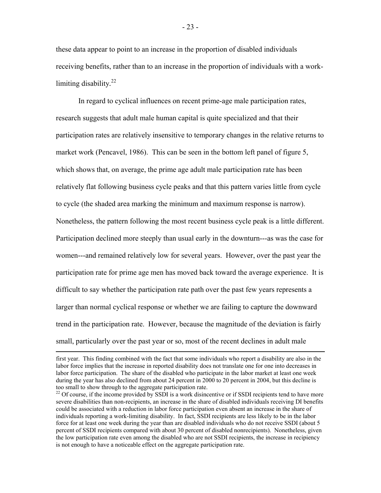these data appear to point to an increase in the proportion of disabled individuals receiving benefits, rather than to an increase in the proportion of individuals with a worklimiting disability*.* 22

 In regard to cyclical influences on recent prime-age male participation rates, research suggests that adult male human capital is quite specialized and that their participation rates are relatively insensitive to temporary changes in the relative returns to market work (Pencavel, 1986). This can be seen in the bottom left panel of figure 5, which shows that, on average, the prime age adult male participation rate has been relatively flat following business cycle peaks and that this pattern varies little from cycle to cycle (the shaded area marking the minimum and maximum response is narrow). Nonetheless, the pattern following the most recent business cycle peak is a little different. Participation declined more steeply than usual early in the downturn---as was the case for women---and remained relatively low for several years. However, over the past year the participation rate for prime age men has moved back toward the average experience. It is difficult to say whether the participation rate path over the past few years represents a larger than normal cyclical response or whether we are failing to capture the downward trend in the participation rate. However, because the magnitude of the deviation is fairly small, particularly over the past year or so, most of the recent declines in adult male

first year. This finding combined with the fact that some individuals who report a disability are also in the labor force implies that the increase in reported disability does not translate one for one into decreases in labor force participation. The share of the disabled who participate in the labor market at least one week during the year has also declined from about 24 percent in 2000 to 20 percent in 2004, but this decline is too small to show through to the aggregate participation rate.

<sup>&</sup>lt;sup>22</sup> Of course, if the income provided by SSDI is a work disincentive or if SSDI recipients tend to have more severe disabilities than non-recipients, an increase in the share of disabled individuals receiving DI benefits could be associated with a reduction in labor force participation even absent an increase in the share of individuals reporting a work-limiting disability. In fact, SSDI recipients are less likely to be in the labor force for at least one week during the year than are disabled individuals who do not receive SSDI (about 5 percent of SSDI recipients compared with about 30 percent of disabled nonrecipients). Nonetheless, given the low participation rate even among the disabled who are not SSDI recipients, the increase in recipiency is not enough to have a noticeable effect on the aggregate participation rate.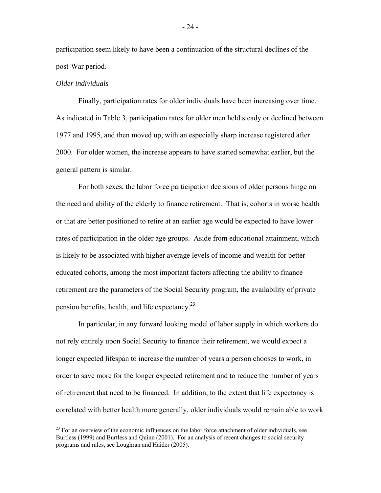participation seem likely to have been a continuation of the structural declines of the post-War period.

## *Older individuals*

1

 Finally, participation rates for older individuals have been increasing over time. As indicated in Table 3, participation rates for older men held steady or declined between 1977 and 1995, and then moved up, with an especially sharp increase registered after 2000. For older women, the increase appears to have started somewhat earlier, but the general pattern is similar.

 For both sexes, the labor force participation decisions of older persons hinge on the need and ability of the elderly to finance retirement. That is, cohorts in worse health or that are better positioned to retire at an earlier age would be expected to have lower rates of participation in the older age groups. Aside from educational attainment, which is likely to be associated with higher average levels of income and wealth for better educated cohorts, among the most important factors affecting the ability to finance retirement are the parameters of the Social Security program, the availability of private pension benefits, health, and life expectancy.<sup>23</sup>

 In particular, in any forward looking model of labor supply in which workers do not rely entirely upon Social Security to finance their retirement, we would expect a longer expected lifespan to increase the number of years a person chooses to work, in order to save more for the longer expected retirement and to reduce the number of years of retirement that need to be financed. In addition, to the extent that life expectancy is correlated with better health more generally, older individuals would remain able to work

<sup>&</sup>lt;sup>23</sup> For an overview of the economic influences on the labor force attachment of older individuals, see Burtless (1999) and Burtless and Quinn (2001). For an analysis of recent changes to social security programs and rules, see Loughran and Haider (2005).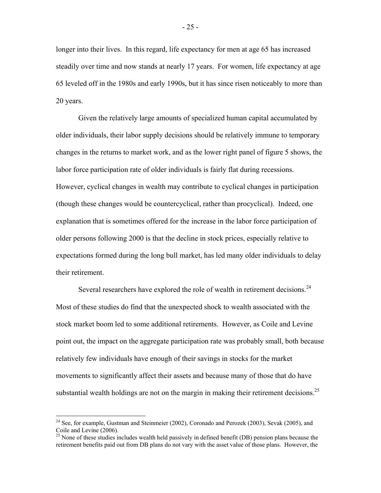longer into their lives. In this regard, life expectancy for men at age 65 has increased steadily over time and now stands at nearly 17 years. For women, life expectancy at age 65 leveled off in the 1980s and early 1990s, but it has since risen noticeably to more than 20 years.

 Given the relatively large amounts of specialized human capital accumulated by older individuals, their labor supply decisions should be relatively immune to temporary changes in the returns to market work, and as the lower right panel of figure 5 shows, the labor force participation rate of older individuals is fairly flat during recessions. However, cyclical changes in wealth may contribute to cyclical changes in participation (though these changes would be countercyclical, rather than procyclical). Indeed, one explanation that is sometimes offered for the increase in the labor force participation of older persons following 2000 is that the decline in stock prices, especially relative to expectations formed during the long bull market, has led many older individuals to delay their retirement.

Several researchers have explored the role of wealth in retirement decisions.<sup>24</sup> Most of these studies do find that the unexpected shock to wealth associated with the stock market boom led to some additional retirements. However, as Coile and Levine point out, the impact on the aggregate participation rate was probably small, both because relatively few individuals have enough of their savings in stocks for the market movements to significantly affect their assets and because many of those that do have substantial wealth holdings are not on the margin in making their retirement decisions.<sup>25</sup>

 $\overline{a}$ 

 $24$  See, for example, Gustman and Steinmeier (2002), Coronado and Perozek (2003), Sevak (2005), and Coile and Levine (2006).

 $25$  None of these studies includes wealth held passively in defined benefit (DB) pension plans because the retirement benefits paid out from DB plans do not vary with the asset value of those plans. However, the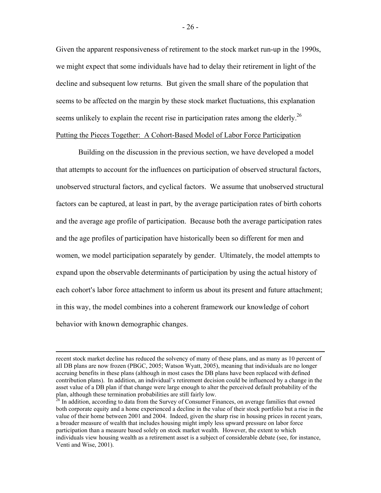Given the apparent responsiveness of retirement to the stock market run-up in the 1990s, we might expect that some individuals have had to delay their retirement in light of the decline and subsequent low returns. But given the small share of the population that seems to be affected on the margin by these stock market fluctuations, this explanation seems unlikely to explain the recent rise in participation rates among the elderly.<sup>26</sup> Putting the Pieces Together: A Cohort-Based Model of Labor Force Participation

 Building on the discussion in the previous section, we have developed a model that attempts to account for the influences on participation of observed structural factors, unobserved structural factors, and cyclical factors. We assume that unobserved structural factors can be captured, at least in part, by the average participation rates of birth cohorts and the average age profile of participation. Because both the average participation rates and the age profiles of participation have historically been so different for men and women, we model participation separately by gender. Ultimately, the model attempts to expand upon the observable determinants of participation by using the actual history of each cohort's labor force attachment to inform us about its present and future attachment; in this way, the model combines into a coherent framework our knowledge of cohort behavior with known demographic changes.

recent stock market decline has reduced the solvency of many of these plans, and as many as 10 percent of all DB plans are now frozen (PBGC, 2005; Watson Wyatt, 2005), meaning that individuals are no longer accruing benefits in these plans (although in most cases the DB plans have been replaced with defined contribution plans). In addition, an individual's retirement decision could be influenced by a change in the asset value of a DB plan if that change were large enough to alter the perceived default probability of the plan, although these termination probabilities are still fairly low.

<sup>&</sup>lt;sup>26</sup> In addition, according to data from the Survey of Consumer Finances, on average families that owned both corporate equity and a home experienced a decline in the value of their stock portfolio but a rise in the value of their home between 2001 and 2004. Indeed, given the sharp rise in housing prices in recent years, a broader measure of wealth that includes housing might imply less upward pressure on labor force participation than a measure based solely on stock market wealth. However, the extent to which individuals view housing wealth as a retirement asset is a subject of considerable debate (see, for instance, Venti and Wise, 2001).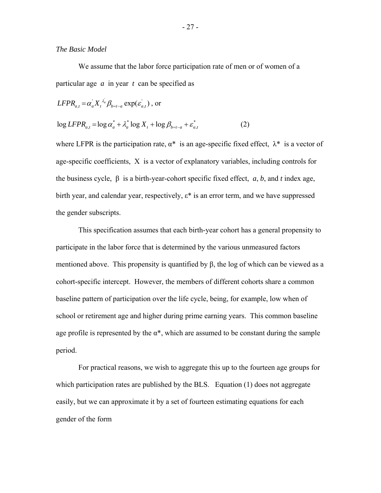## *The Basic Model*

 We assume that the labor force participation rate of men or of women of a particular age *a* in year *t* can be specified as

$$
LFPR_{a,t} = \alpha_a X_t^{\lambda_a} \beta_{b=t-a} \exp(\varepsilon_{a,t}^{'})
$$
, or

$$
\log LFPR_{a,t} = \log \alpha_a^* + \lambda_a^* \log X_t + \log \beta_{b=t-a} + \varepsilon_{a,t}^* \tag{2}
$$

where LFPR is the participation rate,  $\alpha^*$  is an age-specific fixed effect,  $\lambda^*$  is a vector of age-specific coefficients, X is a vector of explanatory variables, including controls for the business cycle, β is a birth-year-cohort specific fixed effect, *a*, *b*, and *t* index age, birth year, and calendar year, respectively,  $\varepsilon^*$  is an error term, and we have suppressed the gender subscripts.

 This specification assumes that each birth-year cohort has a general propensity to participate in the labor force that is determined by the various unmeasured factors mentioned above. This propensity is quantified by β, the log of which can be viewed as a cohort-specific intercept. However, the members of different cohorts share a common baseline pattern of participation over the life cycle, being, for example, low when of school or retirement age and higher during prime earning years. This common baseline age profile is represented by the  $\alpha^*$ , which are assumed to be constant during the sample period.

 For practical reasons, we wish to aggregate this up to the fourteen age groups for which participation rates are published by the BLS. Equation (1) does not aggregate easily, but we can approximate it by a set of fourteen estimating equations for each gender of the form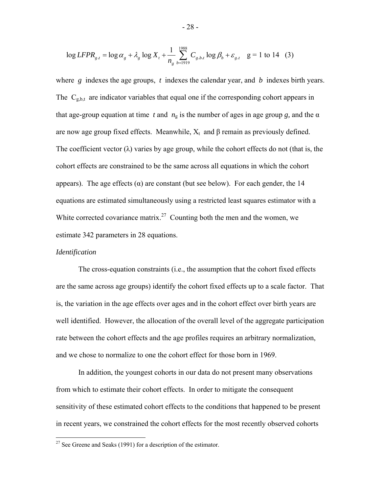$$
\log LFPR_{g,t} = \log \alpha_g + \lambda_g \log X_t + \frac{1}{n_g} \sum_{b=1919}^{1988} C_{g,b,t} \log \beta_b + \varepsilon_{g,t} \quad g = 1 \text{ to } 14 \quad (3)
$$

where *g* indexes the age groups, *t* indexes the calendar year, and *b* indexes birth years. The  $C_{g,b,t}$  are indicator variables that equal one if the corresponding cohort appears in that age-group equation at time *t* and  $n<sub>g</sub>$  is the number of ages in age group *g*, and the  $\alpha$ are now age group fixed effects. Meanwhile,  $X_t$  and  $\beta$  remain as previously defined. The coefficient vector  $(\lambda)$  varies by age group, while the cohort effects do not (that is, the cohort effects are constrained to be the same across all equations in which the cohort appears). The age effects  $(\alpha)$  are constant (but see below). For each gender, the 14 equations are estimated simultaneously using a restricted least squares estimator with a White corrected covariance matrix.<sup>27</sup> Counting both the men and the women, we estimate 342 parameters in 28 equations.

#### *Identification*

 $\overline{a}$ 

 The cross-equation constraints (i.e., the assumption that the cohort fixed effects are the same across age groups) identify the cohort fixed effects up to a scale factor. That is, the variation in the age effects over ages and in the cohort effect over birth years are well identified. However, the allocation of the overall level of the aggregate participation rate between the cohort effects and the age profiles requires an arbitrary normalization, and we chose to normalize to one the cohort effect for those born in 1969.

 In addition, the youngest cohorts in our data do not present many observations from which to estimate their cohort effects. In order to mitigate the consequent sensitivity of these estimated cohort effects to the conditions that happened to be present in recent years, we constrained the cohort effects for the most recently observed cohorts

<sup>&</sup>lt;sup>27</sup> See Greene and Seaks (1991) for a description of the estimator.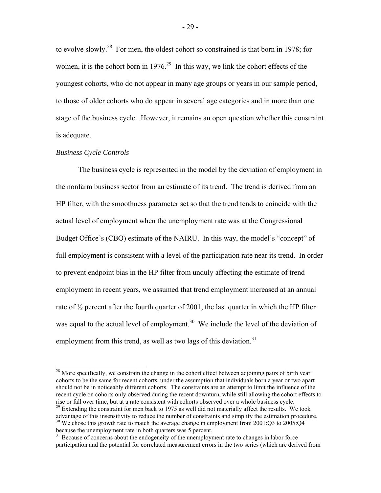to evolve slowly.28 For men, the oldest cohort so constrained is that born in 1978; for women, it is the cohort born in  $1976<sup>29</sup>$  In this way, we link the cohort effects of the youngest cohorts, who do not appear in many age groups or years in our sample period, to those of older cohorts who do appear in several age categories and in more than one stage of the business cycle. However, it remains an open question whether this constraint is adequate.

## *Business Cycle Controls*

1

 The business cycle is represented in the model by the deviation of employment in the nonfarm business sector from an estimate of its trend. The trend is derived from an HP filter, with the smoothness parameter set so that the trend tends to coincide with the actual level of employment when the unemployment rate was at the Congressional Budget Office's (CBO) estimate of the NAIRU. In this way, the model's "concept" of full employment is consistent with a level of the participation rate near its trend. In order to prevent endpoint bias in the HP filter from unduly affecting the estimate of trend employment in recent years, we assumed that trend employment increased at an annual rate of  $\frac{1}{2}$  percent after the fourth quarter of 2001, the last quarter in which the HP filter was equal to the actual level of employment.<sup>30</sup> We include the level of the deviation of employment from this trend, as well as two lags of this deviation.<sup>31</sup>

<sup>29</sup> Extending the constraint for men back to 1975 as well did not materially affect the results. We took advantage of this insensitivity to reduce the number of constraints and simplify the estimation procedure. <sup>30</sup> We chose this growth rate to match the average change in employment from  $2001:Q3$  to  $2005:Q4$ because the unemployment rate in both quarters was 5 percent.

<sup>&</sup>lt;sup>28</sup> More specifically, we constrain the change in the cohort effect between adjoining pairs of birth year cohorts to be the same for recent cohorts, under the assumption that individuals born a year or two apart should not be in noticeably different cohorts. The constraints are an attempt to limit the influence of the recent cycle on cohorts only observed during the recent downturn, while still allowing the cohort effects to rise or fall over time, but at a rate consistent with cohorts observed over a whole business cycle.

<sup>&</sup>lt;sup>31</sup> Because of concerns about the endogeneity of the unemployment rate to changes in labor force participation and the potential for correlated measurement errors in the two series (which are derived from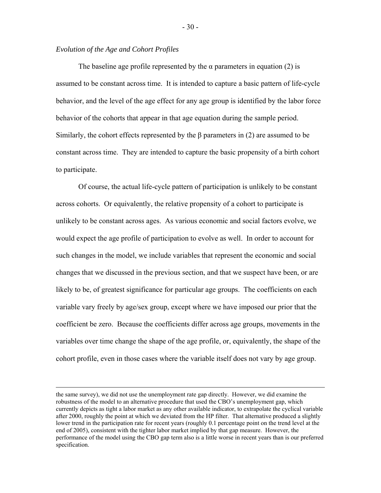# *Evolution of the Age and Cohort Profiles*

The baseline age profile represented by the  $\alpha$  parameters in equation (2) is assumed to be constant across time. It is intended to capture a basic pattern of life-cycle behavior, and the level of the age effect for any age group is identified by the labor force behavior of the cohorts that appear in that age equation during the sample period. Similarly, the cohort effects represented by the  $\beta$  parameters in (2) are assumed to be constant across time. They are intended to capture the basic propensity of a birth cohort to participate.

 Of course, the actual life-cycle pattern of participation is unlikely to be constant across cohorts. Or equivalently, the relative propensity of a cohort to participate is unlikely to be constant across ages. As various economic and social factors evolve, we would expect the age profile of participation to evolve as well. In order to account for such changes in the model, we include variables that represent the economic and social changes that we discussed in the previous section, and that we suspect have been, or are likely to be, of greatest significance for particular age groups. The coefficients on each variable vary freely by age/sex group, except where we have imposed our prior that the coefficient be zero. Because the coefficients differ across age groups, movements in the variables over time change the shape of the age profile, or, equivalently, the shape of the cohort profile, even in those cases where the variable itself does not vary by age group.

the same survey), we did not use the unemployment rate gap directly. However, we did examine the robustness of the model to an alternative procedure that used the CBO's unemployment gap, which currently depicts as tight a labor market as any other available indicator, to extrapolate the cyclical variable after 2000, roughly the point at which we deviated from the HP filter. That alternative produced a slightly lower trend in the participation rate for recent years (roughly 0.1 percentage point on the trend level at the end of 2005), consistent with the tighter labor market implied by that gap measure. However, the performance of the model using the CBO gap term also is a little worse in recent years than is our preferred specification.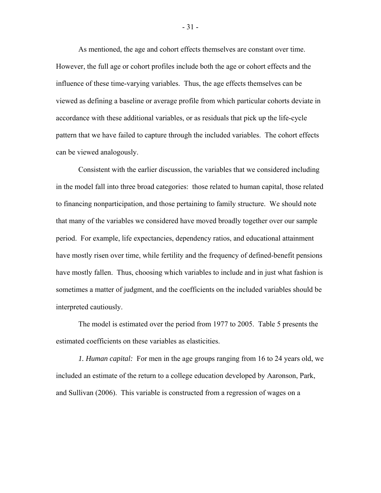As mentioned, the age and cohort effects themselves are constant over time. However, the full age or cohort profiles include both the age or cohort effects and the influence of these time-varying variables. Thus, the age effects themselves can be viewed as defining a baseline or average profile from which particular cohorts deviate in accordance with these additional variables, or as residuals that pick up the life-cycle pattern that we have failed to capture through the included variables. The cohort effects can be viewed analogously.

 Consistent with the earlier discussion, the variables that we considered including in the model fall into three broad categories: those related to human capital, those related to financing nonparticipation, and those pertaining to family structure. We should note that many of the variables we considered have moved broadly together over our sample period. For example, life expectancies, dependency ratios, and educational attainment have mostly risen over time, while fertility and the frequency of defined-benefit pensions have mostly fallen. Thus, choosing which variables to include and in just what fashion is sometimes a matter of judgment, and the coefficients on the included variables should be interpreted cautiously.

 The model is estimated over the period from 1977 to 2005. Table 5 presents the estimated coefficients on these variables as elasticities.

 *1. Human capital:* For men in the age groups ranging from 16 to 24 years old, we included an estimate of the return to a college education developed by Aaronson, Park, and Sullivan (2006). This variable is constructed from a regression of wages on a

- 31 -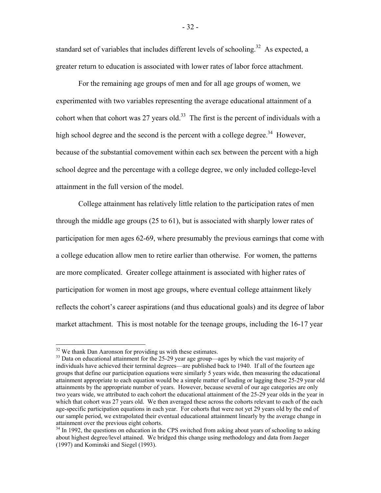standard set of variables that includes different levels of schooling.<sup>32</sup> As expected, a greater return to education is associated with lower rates of labor force attachment.

For the remaining age groups of men and for all age groups of women, we experimented with two variables representing the average educational attainment of a cohort when that cohort was 27 years old.<sup>33</sup> The first is the percent of individuals with a high school degree and the second is the percent with a college degree.<sup>34</sup> However, because of the substantial comovement within each sex between the percent with a high school degree and the percentage with a college degree, we only included college-level attainment in the full version of the model.

 College attainment has relatively little relation to the participation rates of men through the middle age groups (25 to 61), but is associated with sharply lower rates of participation for men ages 62-69, where presumably the previous earnings that come with a college education allow men to retire earlier than otherwise. For women, the patterns are more complicated. Greater college attainment is associated with higher rates of participation for women in most age groups, where eventual college attainment likely reflects the cohort's career aspirations (and thus educational goals) and its degree of labor market attachment. This is most notable for the teenage groups, including the 16-17 year

1

 $32$  We thank Dan Aaronson for providing us with these estimates.

<sup>&</sup>lt;sup>33</sup> Data on educational attainment for the 25-29 year age group—ages by which the vast majority of individuals have achieved their terminal degrees—are published back to 1940. If all of the fourteen age groups that define our participation equations were similarly 5 years wide, then measuring the educational attainment appropriate to each equation would be a simple matter of leading or lagging these 25-29 year old attainments by the appropriate number of years. However, because several of our age categories are only two years wide, we attributed to each cohort the educational attainment of the 25-29 year olds in the year in which that cohort was 27 years old. We then averaged these across the cohorts relevant to each of the each age-specific participation equations in each year. For cohorts that were not yet 29 years old by the end of our sample period, we extrapolated their eventual educational attainment linearly by the average change in attainment over the previous eight cohorts.

<sup>&</sup>lt;sup>34</sup> In 1992, the questions on education in the CPS switched from asking about years of schooling to asking about highest degree/level attained. We bridged this change using methodology and data from Jaeger (1997) and Kominski and Siegel (1993).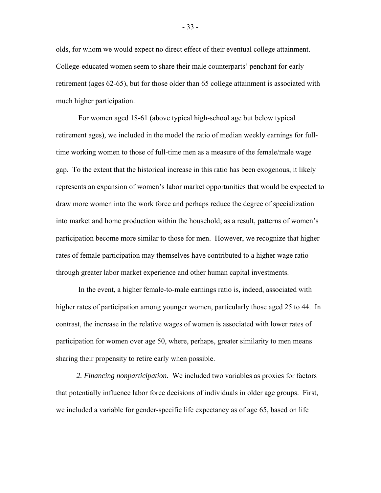olds, for whom we would expect no direct effect of their eventual college attainment. College-educated women seem to share their male counterparts' penchant for early retirement (ages 62-65), but for those older than 65 college attainment is associated with much higher participation.

 For women aged 18-61 (above typical high-school age but below typical retirement ages), we included in the model the ratio of median weekly earnings for fulltime working women to those of full-time men as a measure of the female/male wage gap. To the extent that the historical increase in this ratio has been exogenous, it likely represents an expansion of women's labor market opportunities that would be expected to draw more women into the work force and perhaps reduce the degree of specialization into market and home production within the household; as a result, patterns of women's participation become more similar to those for men. However, we recognize that higher rates of female participation may themselves have contributed to a higher wage ratio through greater labor market experience and other human capital investments.

 In the event, a higher female-to-male earnings ratio is, indeed, associated with higher rates of participation among younger women, particularly those aged 25 to 44. In contrast, the increase in the relative wages of women is associated with lower rates of participation for women over age 50, where, perhaps, greater similarity to men means sharing their propensity to retire early when possible.

 *2. Financing nonparticipation.* We included two variables as proxies for factors that potentially influence labor force decisions of individuals in older age groups. First, we included a variable for gender-specific life expectancy as of age 65, based on life

- 33 -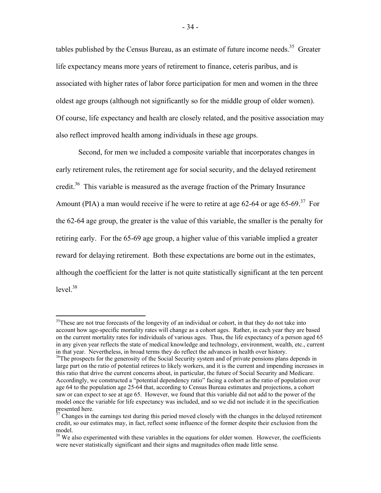tables published by the Census Bureau, as an estimate of future income needs.<sup>35</sup> Greater life expectancy means more years of retirement to finance, ceteris paribus, and is associated with higher rates of labor force participation for men and women in the three oldest age groups (although not significantly so for the middle group of older women). Of course, life expectancy and health are closely related, and the positive association may also reflect improved health among individuals in these age groups.

 Second, for men we included a composite variable that incorporates changes in early retirement rules, the retirement age for social security, and the delayed retirement credit.<sup>36</sup> This variable is measured as the average fraction of the Primary Insurance Amount (PIA) a man would receive if he were to retire at age 62-64 or age 65-69.<sup>37</sup> For the 62-64 age group, the greater is the value of this variable, the smaller is the penalty for retiring early. For the 65-69 age group, a higher value of this variable implied a greater reward for delaying retirement. Both these expectations are borne out in the estimates, although the coefficient for the latter is not quite statistically significant at the ten percent level $^{38}$ 

 $\overline{a}$ 

 $35$ These are not true forecasts of the longevity of an individual or cohort, in that they do not take into account how age-specific mortality rates will change as a cohort ages. Rather, in each year they are based on the current mortality rates for individuals of various ages. Thus, the life expectancy of a person aged 65 in any given year reflects the state of medical knowledge and technology, environment, wealth, etc., current in that year. Nevertheless, in broad terms they do reflect the advances in health over history.

<sup>&</sup>lt;sup>36</sup>The prospects for the generosity of the Social Security system and of private pensions plans depends in large part on the ratio of potential retirees to likely workers, and it is the current and impending increases in this ratio that drive the current concerns about, in particular, the future of Social Security and Medicare. Accordingly, we constructed a "potential dependency ratio" facing a cohort as the ratio of population over age 64 to the population age 25-64 that, according to Census Bureau estimates and projections, a cohort saw or can expect to see at age 65. However, we found that this variable did not add to the power of the model once the variable for life expectancy was included, and so we did not include it in the specification presented here.

 $37$  Changes in the earnings test during this period moved closely with the changes in the delayed retirement credit, so our estimates may, in fact, reflect some influence of the former despite their exclusion from the model.

<sup>&</sup>lt;sup>38</sup> We also experimented with these variables in the equations for older women. However, the coefficients were never statistically significant and their signs and magnitudes often made little sense.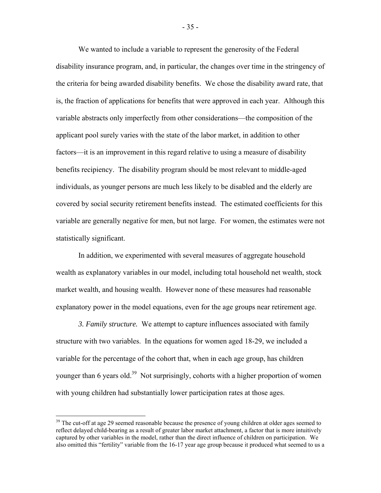We wanted to include a variable to represent the generosity of the Federal disability insurance program, and, in particular, the changes over time in the stringency of the criteria for being awarded disability benefits. We chose the disability award rate, that is, the fraction of applications for benefits that were approved in each year. Although this variable abstracts only imperfectly from other considerations—the composition of the applicant pool surely varies with the state of the labor market, in addition to other factors—it is an improvement in this regard relative to using a measure of disability benefits recipiency. The disability program should be most relevant to middle-aged individuals, as younger persons are much less likely to be disabled and the elderly are covered by social security retirement benefits instead. The estimated coefficients for this variable are generally negative for men, but not large. For women, the estimates were not statistically significant.

 In addition, we experimented with several measures of aggregate household wealth as explanatory variables in our model, including total household net wealth, stock market wealth, and housing wealth. However none of these measures had reasonable explanatory power in the model equations, even for the age groups near retirement age.

*3. Family structure.* We attempt to capture influences associated with family structure with two variables. In the equations for women aged 18-29, we included a variable for the percentage of the cohort that, when in each age group, has children younger than 6 years old.<sup>39</sup> Not surprisingly, cohorts with a higher proportion of women with young children had substantially lower participation rates at those ages.

<u>.</u>

- 35 -

<sup>&</sup>lt;sup>39</sup> The cut-off at age 29 seemed reasonable because the presence of young children at older ages seemed to reflect delayed child-bearing as a result of greater labor market attachment, a factor that is more intuitively captured by other variables in the model, rather than the direct influence of children on participation. We also omitted this "fertility" variable from the 16-17 year age group because it produced what seemed to us a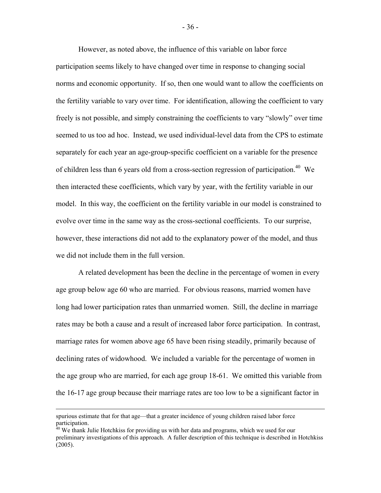However, as noted above, the influence of this variable on labor force participation seems likely to have changed over time in response to changing social norms and economic opportunity. If so, then one would want to allow the coefficients on the fertility variable to vary over time. For identification, allowing the coefficient to vary freely is not possible, and simply constraining the coefficients to vary "slowly" over time seemed to us too ad hoc. Instead, we used individual-level data from the CPS to estimate separately for each year an age-group-specific coefficient on a variable for the presence of children less than 6 years old from a cross-section regression of participation.<sup>40</sup> We then interacted these coefficients, which vary by year, with the fertility variable in our model. In this way, the coefficient on the fertility variable in our model is constrained to evolve over time in the same way as the cross-sectional coefficients. To our surprise, however, these interactions did not add to the explanatory power of the model, and thus we did not include them in the full version.

 A related development has been the decline in the percentage of women in every age group below age 60 who are married. For obvious reasons, married women have long had lower participation rates than unmarried women. Still, the decline in marriage rates may be both a cause and a result of increased labor force participation. In contrast, marriage rates for women above age 65 have been rising steadily, primarily because of declining rates of widowhood. We included a variable for the percentage of women in the age group who are married, for each age group 18-61. We omitted this variable from the 16-17 age group because their marriage rates are too low to be a significant factor in

spurious estimate that for that age—that a greater incidence of young children raised labor force participation.

<sup>&</sup>lt;sup>40</sup> We thank Julie Hotchkiss for providing us with her data and programs, which we used for our preliminary investigations of this approach. A fuller description of this technique is described in Hotchkiss (2005).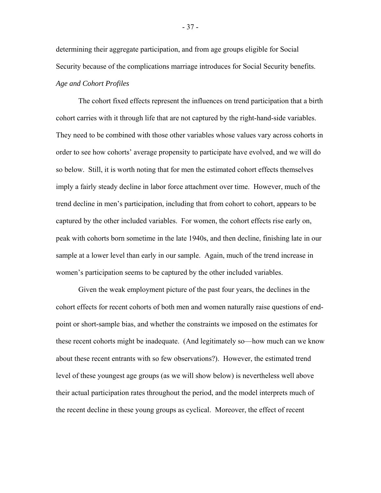determining their aggregate participation, and from age groups eligible for Social Security because of the complications marriage introduces for Social Security benefits. *Age and Cohort Profiles* 

 The cohort fixed effects represent the influences on trend participation that a birth cohort carries with it through life that are not captured by the right-hand-side variables. They need to be combined with those other variables whose values vary across cohorts in order to see how cohorts' average propensity to participate have evolved, and we will do so below. Still, it is worth noting that for men the estimated cohort effects themselves imply a fairly steady decline in labor force attachment over time. However, much of the trend decline in men's participation, including that from cohort to cohort, appears to be captured by the other included variables. For women, the cohort effects rise early on, peak with cohorts born sometime in the late 1940s, and then decline, finishing late in our sample at a lower level than early in our sample. Again, much of the trend increase in women's participation seems to be captured by the other included variables.

 Given the weak employment picture of the past four years, the declines in the cohort effects for recent cohorts of both men and women naturally raise questions of endpoint or short-sample bias, and whether the constraints we imposed on the estimates for these recent cohorts might be inadequate. (And legitimately so—how much can we know about these recent entrants with so few observations?). However, the estimated trend level of these youngest age groups (as we will show below) is nevertheless well above their actual participation rates throughout the period, and the model interprets much of the recent decline in these young groups as cyclical. Moreover, the effect of recent

- 37 -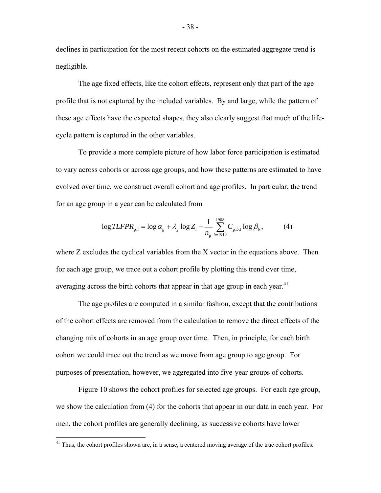declines in participation for the most recent cohorts on the estimated aggregate trend is negligible.

 The age fixed effects, like the cohort effects, represent only that part of the age profile that is not captured by the included variables. By and large, while the pattern of these age effects have the expected shapes, they also clearly suggest that much of the lifecycle pattern is captured in the other variables.

 To provide a more complete picture of how labor force participation is estimated to vary across cohorts or across age groups, and how these patterns are estimated to have evolved over time, we construct overall cohort and age profiles. In particular, the trend for an age group in a year can be calculated from

$$
\log TLFPR_{g,t} = \log \alpha_g + \lambda_g \log Z_t + \frac{1}{n_g} \sum_{b=1919}^{1988} C_{g,b,t} \log \beta_b, \tag{4}
$$

where Z excludes the cyclical variables from the X vector in the equations above. Then for each age group, we trace out a cohort profile by plotting this trend over time, averaging across the birth cohorts that appear in that age group in each year.<sup>41</sup>

 The age profiles are computed in a similar fashion, except that the contributions of the cohort effects are removed from the calculation to remove the direct effects of the changing mix of cohorts in an age group over time. Then, in principle, for each birth cohort we could trace out the trend as we move from age group to age group. For purposes of presentation, however, we aggregated into five-year groups of cohorts.

 Figure 10 shows the cohort profiles for selected age groups. For each age group, we show the calculation from (4) for the cohorts that appear in our data in each year. For men, the cohort profiles are generally declining, as successive cohorts have lower

<u>.</u>

<sup>&</sup>lt;sup>41</sup> Thus, the cohort profiles shown are, in a sense, a centered moving average of the true cohort profiles.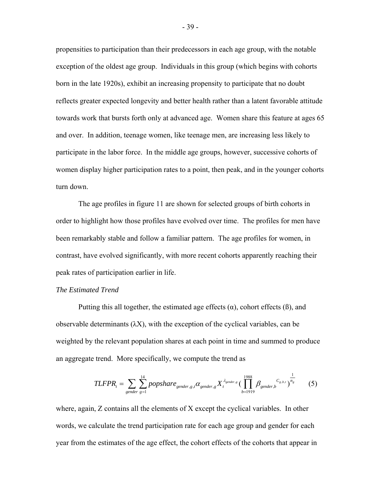propensities to participation than their predecessors in each age group, with the notable exception of the oldest age group. Individuals in this group (which begins with cohorts born in the late 1920s), exhibit an increasing propensity to participate that no doubt reflects greater expected longevity and better health rather than a latent favorable attitude towards work that bursts forth only at advanced age. Women share this feature at ages 65 and over. In addition, teenage women, like teenage men, are increasing less likely to participate in the labor force. In the middle age groups, however, successive cohorts of women display higher participation rates to a point, then peak, and in the younger cohorts turn down.

 The age profiles in figure 11 are shown for selected groups of birth cohorts in order to highlight how those profiles have evolved over time. The profiles for men have been remarkably stable and follow a familiar pattern. The age profiles for women, in contrast, have evolved significantly, with more recent cohorts apparently reaching their peak rates of participation earlier in life.

# *The Estimated Trend*

Putting this all together, the estimated age effects  $(\alpha)$ , cohort effects  $(\beta)$ , and observable determinants  $(\lambda X)$ , with the exception of the cyclical variables, can be weighted by the relevant population shares at each point in time and summed to produce an aggregate trend. More specifically, we compute the trend as

$$
TLFPR_t = \sum_{gender} \sum_{gender}^{14} popshare_{gender,g,t} \alpha_{gender,g} X_t^{\lambda_{gender,s}} (\prod_{b=1919}^{1988} \beta_{gender,b} C_{g,b,t})^{\frac{1}{n_g}}
$$
(5)

where, again, Z contains all the elements of X except the cyclical variables. In other words, we calculate the trend participation rate for each age group and gender for each year from the estimates of the age effect, the cohort effects of the cohorts that appear in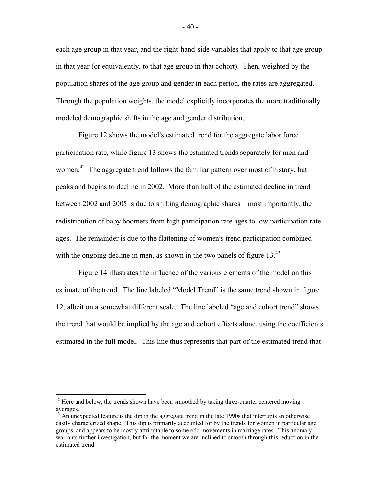each age group in that year, and the right-hand-side variables that apply to that age group in that year (or equivalently, to that age group in that cohort). Then, weighted by the population shares of the age group and gender in each period, the rates are aggregated. Through the population weights, the model explicitly incorporates the more traditionally modeled demographic shifts in the age and gender distribution.

Figure 12 shows the model's estimated trend for the aggregate labor force participation rate, while figure 13 shows the estimated trends separately for men and women.<sup>42</sup> The aggregate trend follows the familiar pattern over most of history, but peaks and begins to decline in 2002. More than half of the estimated decline in trend between 2002 and 2005 is due to shifting demographic shares—most importantly, the redistribution of baby boomers from high participation rate ages to low participation rate ages. The remainder is due to the flattening of women's trend participation combined with the ongoing decline in men, as shown in the two panels of figure  $13<sup>43</sup>$ 

 Figure 14 illustrates the influence of the various elements of the model on this estimate of the trend. The line labeled "Model Trend" is the same trend shown in figure 12, albeit on a somewhat different scale. The line labeled "age and cohort trend" shows the trend that would be implied by the age and cohort effects alone, using the coefficients estimated in the full model. This line thus represents that part of the estimated trend that

<u>.</u>

 $42$  Here and below, the trends shown have been smoothed by taking three-quarter centered moving averages.

<sup>&</sup>lt;sup>43</sup> An unexpected feature is the dip in the aggregate trend in the late 1990s that interrupts an otherwise easily characterized shape. This dip is primarily accounted for by the trends for women in particular age groups, and appears to be mostly attributable to some odd movements in marriage rates. This anomaly warrants further investigation, but for the moment we are inclined to smooth through this reduction in the estimated trend.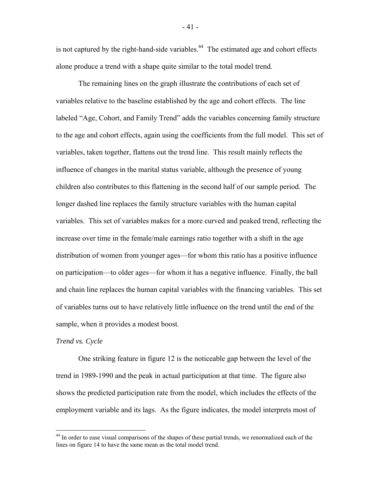is not captured by the right-hand-side variables.<sup>44</sup> The estimated age and cohort effects alone produce a trend with a shape quite similar to the total model trend.

 The remaining lines on the graph illustrate the contributions of each set of variables relative to the baseline established by the age and cohort effects. The line labeled "Age, Cohort, and Family Trend" adds the variables concerning family structure to the age and cohort effects, again using the coefficients from the full model. This set of variables, taken together, flattens out the trend line. This result mainly reflects the influence of changes in the marital status variable, although the presence of young children also contributes to this flattening in the second half of our sample period. The longer dashed line replaces the family structure variables with the human capital variables. This set of variables makes for a more curved and peaked trend, reflecting the increase over time in the female/male earnings ratio together with a shift in the age distribution of women from younger ages—for whom this ratio has a positive influence on participation—to older ages—for whom it has a negative influence. Finally, the ball and chain line replaces the human capital variables with the financing variables. This set of variables turns out to have relatively little influence on the trend until the end of the sample, when it provides a modest boost.

## *Trend vs. Cycle*

 $\overline{a}$ 

 One striking feature in figure 12 is the noticeable gap between the level of the trend in 1989-1990 and the peak in actual participation at that time. The figure also shows the predicted participation rate from the model, which includes the effects of the employment variable and its lags. As the figure indicates, the model interprets most of

- 41 -

<sup>&</sup>lt;sup>44</sup> In order to ease visual comparisons of the shapes of these partial trends, we renormalized each of the lines on figure 14 to have the same mean as the total model trend.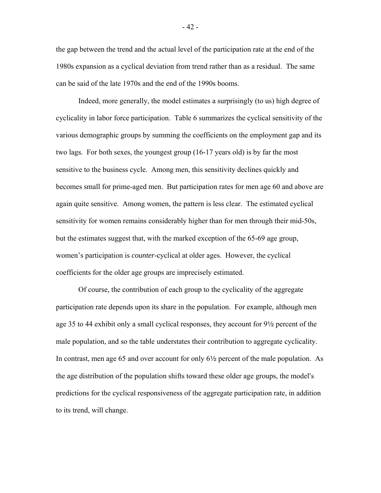the gap between the trend and the actual level of the participation rate at the end of the 1980s expansion as a cyclical deviation from trend rather than as a residual. The same can be said of the late 1970s and the end of the 1990s booms.

 Indeed, more generally, the model estimates a surprisingly (to us) high degree of cyclicality in labor force participation. Table 6 summarizes the cyclical sensitivity of the various demographic groups by summing the coefficients on the employment gap and its two lags. For both sexes, the youngest group (16-17 years old) is by far the most sensitive to the business cycle. Among men, this sensitivity declines quickly and becomes small for prime-aged men. But participation rates for men age 60 and above are again quite sensitive. Among women, the pattern is less clear. The estimated cyclical sensitivity for women remains considerably higher than for men through their mid-50s, but the estimates suggest that, with the marked exception of the 65-69 age group, women's participation is *counter*-cyclical at older ages. However, the cyclical coefficients for the older age groups are imprecisely estimated.

 Of course, the contribution of each group to the cyclicality of the aggregate participation rate depends upon its share in the population. For example, although men age 35 to 44 exhibit only a small cyclical responses, they account for  $9\frac{1}{2}$  percent of the male population, and so the table understates their contribution to aggregate cyclicality. In contrast, men age 65 and over account for only  $6\frac{1}{2}$  percent of the male population. As the age distribution of the population shifts toward these older age groups, the model's predictions for the cyclical responsiveness of the aggregate participation rate, in addition to its trend, will change.

- 42 -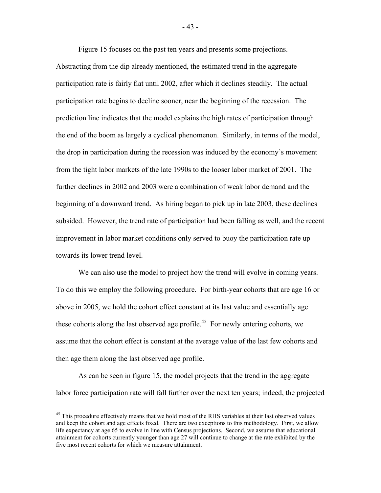Figure 15 focuses on the past ten years and presents some projections.

Abstracting from the dip already mentioned, the estimated trend in the aggregate participation rate is fairly flat until 2002, after which it declines steadily. The actual participation rate begins to decline sooner, near the beginning of the recession. The prediction line indicates that the model explains the high rates of participation through the end of the boom as largely a cyclical phenomenon. Similarly, in terms of the model, the drop in participation during the recession was induced by the economy's movement from the tight labor markets of the late 1990s to the looser labor market of 2001. The further declines in 2002 and 2003 were a combination of weak labor demand and the beginning of a downward trend. As hiring began to pick up in late 2003, these declines subsided. However, the trend rate of participation had been falling as well, and the recent improvement in labor market conditions only served to buoy the participation rate up towards its lower trend level.

We can also use the model to project how the trend will evolve in coming years. To do this we employ the following procedure. For birth-year cohorts that are age 16 or above in 2005, we hold the cohort effect constant at its last value and essentially age these cohorts along the last observed age profile.<sup>45</sup> For newly entering cohorts, we assume that the cohort effect is constant at the average value of the last few cohorts and then age them along the last observed age profile.

 As can be seen in figure 15, the model projects that the trend in the aggregate labor force participation rate will fall further over the next ten years; indeed, the projected

1

- 43 -

<sup>&</sup>lt;sup>45</sup> This procedure effectively means that we hold most of the RHS variables at their last observed values and keep the cohort and age effects fixed. There are two exceptions to this methodology. First, we allow life expectancy at age 65 to evolve in line with Census projections. Second, we assume that educational attainment for cohorts currently younger than age 27 will continue to change at the rate exhibited by the five most recent cohorts for which we measure attainment.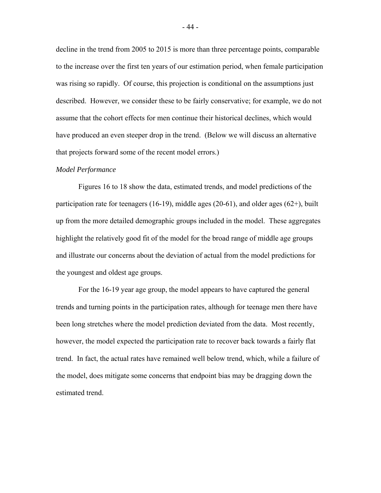decline in the trend from 2005 to 2015 is more than three percentage points, comparable to the increase over the first ten years of our estimation period, when female participation was rising so rapidly. Of course, this projection is conditional on the assumptions just described. However, we consider these to be fairly conservative; for example, we do not assume that the cohort effects for men continue their historical declines, which would have produced an even steeper drop in the trend. (Below we will discuss an alternative that projects forward some of the recent model errors.)

#### *Model Performance*

 Figures 16 to 18 show the data, estimated trends, and model predictions of the participation rate for teenagers (16-19), middle ages (20-61), and older ages (62+), built up from the more detailed demographic groups included in the model. These aggregates highlight the relatively good fit of the model for the broad range of middle age groups and illustrate our concerns about the deviation of actual from the model predictions for the youngest and oldest age groups.

 For the 16-19 year age group, the model appears to have captured the general trends and turning points in the participation rates, although for teenage men there have been long stretches where the model prediction deviated from the data. Most recently, however, the model expected the participation rate to recover back towards a fairly flat trend. In fact, the actual rates have remained well below trend, which, while a failure of the model, does mitigate some concerns that endpoint bias may be dragging down the estimated trend.

- 44 -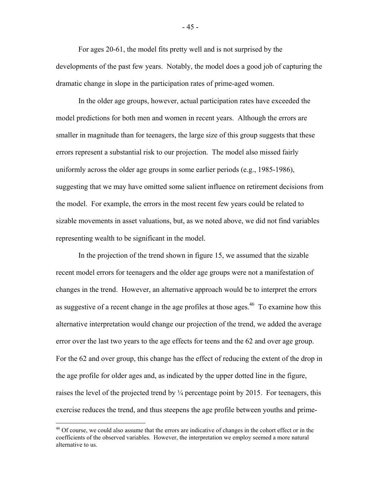For ages 20-61, the model fits pretty well and is not surprised by the developments of the past few years. Notably, the model does a good job of capturing the dramatic change in slope in the participation rates of prime-aged women.

 In the older age groups, however, actual participation rates have exceeded the model predictions for both men and women in recent years. Although the errors are smaller in magnitude than for teenagers, the large size of this group suggests that these errors represent a substantial risk to our projection. The model also missed fairly uniformly across the older age groups in some earlier periods (e.g., 1985-1986), suggesting that we may have omitted some salient influence on retirement decisions from the model. For example, the errors in the most recent few years could be related to sizable movements in asset valuations, but, as we noted above, we did not find variables representing wealth to be significant in the model.

 In the projection of the trend shown in figure 15, we assumed that the sizable recent model errors for teenagers and the older age groups were not a manifestation of changes in the trend. However, an alternative approach would be to interpret the errors as suggestive of a recent change in the age profiles at those ages.<sup>46</sup> To examine how this alternative interpretation would change our projection of the trend, we added the average error over the last two years to the age effects for teens and the 62 and over age group. For the 62 and over group, this change has the effect of reducing the extent of the drop in the age profile for older ages and, as indicated by the upper dotted line in the figure, raises the level of the projected trend by  $\frac{1}{4}$  percentage point by 2015. For teenagers, this exercise reduces the trend, and thus steepens the age profile between youths and prime-

1

- 45 -

<sup>&</sup>lt;sup>46</sup> Of course, we could also assume that the errors are indicative of changes in the cohort effect or in the coefficients of the observed variables. However, the interpretation we employ seemed a more natural alternative to us.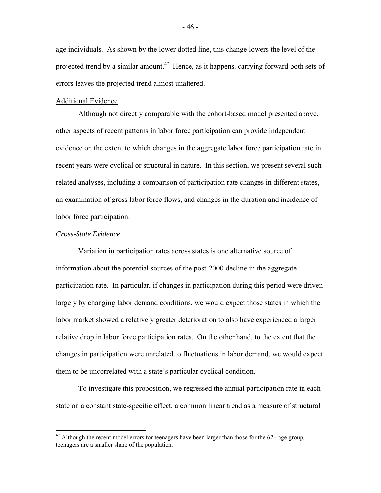age individuals. As shown by the lower dotted line, this change lowers the level of the projected trend by a similar amount.<sup>47</sup> Hence, as it happens, carrying forward both sets of errors leaves the projected trend almost unaltered.

## Additional Evidence

 Although not directly comparable with the cohort-based model presented above, other aspects of recent patterns in labor force participation can provide independent evidence on the extent to which changes in the aggregate labor force participation rate in recent years were cyclical or structural in nature. In this section, we present several such related analyses, including a comparison of participation rate changes in different states, an examination of gross labor force flows, and changes in the duration and incidence of labor force participation.

# *Cross-State Evidence*

1

 Variation in participation rates across states is one alternative source of information about the potential sources of the post-2000 decline in the aggregate participation rate. In particular, if changes in participation during this period were driven largely by changing labor demand conditions, we would expect those states in which the labor market showed a relatively greater deterioration to also have experienced a larger relative drop in labor force participation rates. On the other hand, to the extent that the changes in participation were unrelated to fluctuations in labor demand, we would expect them to be uncorrelated with a state's particular cyclical condition.

 To investigate this proposition, we regressed the annual participation rate in each state on a constant state-specific effect, a common linear trend as a measure of structural

 $47$  Although the recent model errors for teenagers have been larger than those for the  $62+$  age group, teenagers are a smaller share of the population.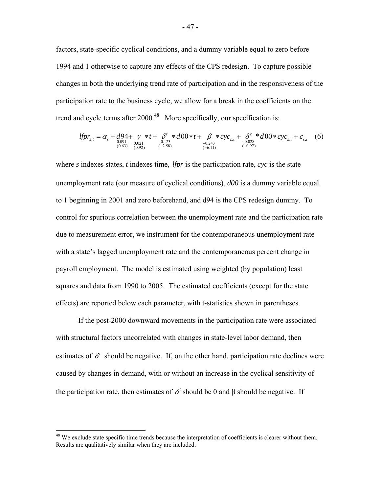factors, state-specific cyclical conditions, and a dummy variable equal to zero before 1994 and 1 otherwise to capture any effects of the CPS redesign. To capture possible changes in both the underlying trend rate of participation and in the responsiveness of the participation rate to the business cycle, we allow for a break in the coefficients on the trend and cycle terms after  $2000<sup>48</sup>$  More specifically, our specification is:

$$
lfp_{s,t} = \alpha_s + d94 + \gamma * t + \delta' * d00 * t + \beta * cyc_{s,t} + \delta^c * d00 * cyc_{s,t} + \delta^c * d00 * cyc_{s,t} + \varepsilon_{s,t} \quad (6)
$$
  
<sub>(0.63)</sub> (0.92) (0.92) (-2.58) (0.11)

where *s* indexes states, *t* indexes time, *lfpr* is the participation rate, *cyc* is the state unemployment rate (our measure of cyclical conditions), *d00* is a dummy variable equal to 1 beginning in 2001 and zero beforehand, and d94 is the CPS redesign dummy. To control for spurious correlation between the unemployment rate and the participation rate due to measurement error, we instrument for the contemporaneous unemployment rate with a state's lagged unemployment rate and the contemporaneous percent change in payroll employment. The model is estimated using weighted (by population) least squares and data from 1990 to 2005. The estimated coefficients (except for the state effects) are reported below each parameter, with t-statistics shown in parentheses.

If the post-2000 downward movements in the participation rate were associated with structural factors uncorrelated with changes in state-level labor demand, then estimates of  $\delta^t$  should be negative. If, on the other hand, participation rate declines were caused by changes in demand, with or without an increase in the cyclical sensitivity of the participation rate, then estimates of  $\delta^t$  should be 0 and β should be negative. If

1

<sup>&</sup>lt;sup>48</sup> We exclude state specific time trends because the interpretation of coefficients is clearer without them. Results are qualitatively similar when they are included.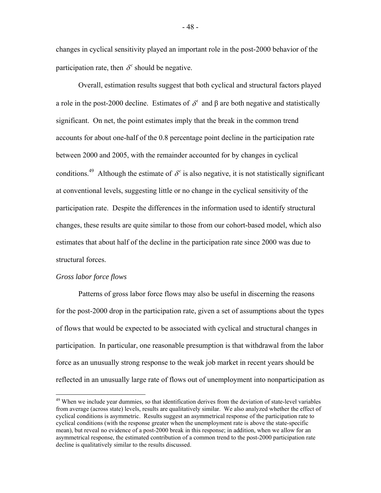changes in cyclical sensitivity played an important role in the post-2000 behavior of the participation rate, then  $\delta^c$  should be negative.

Overall, estimation results suggest that both cyclical and structural factors played a role in the post-2000 decline. Estimates of  $\delta^t$  and  $\beta$  are both negative and statistically significant. On net, the point estimates imply that the break in the common trend accounts for about one-half of the 0.8 percentage point decline in the participation rate between 2000 and 2005, with the remainder accounted for by changes in cyclical conditions.<sup>49</sup> Although the estimate of  $\delta^c$  is also negative, it is not statistically significant at conventional levels, suggesting little or no change in the cyclical sensitivity of the participation rate. Despite the differences in the information used to identify structural changes, these results are quite similar to those from our cohort-based model, which also estimates that about half of the decline in the participation rate since 2000 was due to structural forces.

# *Gross labor force flows*

<u>.</u>

Patterns of gross labor force flows may also be useful in discerning the reasons for the post-2000 drop in the participation rate, given a set of assumptions about the types of flows that would be expected to be associated with cyclical and structural changes in participation. In particular, one reasonable presumption is that withdrawal from the labor force as an unusually strong response to the weak job market in recent years should be reflected in an unusually large rate of flows out of unemployment into nonparticipation as

<sup>&</sup>lt;sup>49</sup> When we include year dummies, so that identification derives from the deviation of state-level variables from average (across state) levels, results are qualitatively similar. We also analyzed whether the effect of cyclical conditions is asymmetric. Results suggest an asymmetrical response of the participation rate to cyclical conditions (with the response greater when the unemployment rate is above the state-specific mean), but reveal no evidence of a post-2000 break in this response; in addition, when we allow for an asymmetrical response, the estimated contribution of a common trend to the post-2000 participation rate decline is qualitatively similar to the results discussed.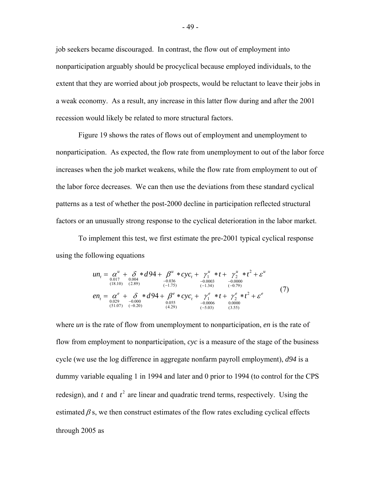job seekers became discouraged. In contrast, the flow out of employment into nonparticipation arguably should be procyclical because employed individuals, to the extent that they are worried about job prospects, would be reluctant to leave their jobs in a weak economy. As a result, any increase in this latter flow during and after the 2001 recession would likely be related to more structural factors.

Figure 19 shows the rates of flows out of employment and unemployment to nonparticipation. As expected, the flow rate from unemployment to out of the labor force increases when the job market weakens, while the flow rate from employment to out of the labor force decreases. We can then use the deviations from these standard cyclical patterns as a test of whether the post-2000 decline in participation reflected structural factors or an unusually strong response to the cyclical deterioration in the labor market.

To implement this test, we first estimate the pre-2001 typical cyclical response using the following equations

$$
un_{t} = \alpha^{u} + \delta * d94 + \beta^{u} * cyc_{t} + \gamma_{1}^{u} * t + \gamma_{2}^{u} * t^{2} + \varepsilon^{u}
$$
  
\n
$$
u_{(18.10)} = \alpha^{u} + \delta * d94 + \beta^{e} * cyc_{t} + \gamma_{1}^{u} * t + \gamma_{2}^{u} * t^{2} + \varepsilon^{u}
$$
  
\n
$$
en_{t} = \alpha^{e} + \delta * d94 + \beta^{e} * cyc_{t} + \gamma_{1}^{e} * t + \gamma_{2}^{e} * t^{2} + \varepsilon^{e}
$$
  
\n
$$
u_{(18.10)} = \alpha^{e} + \delta * d94 + \beta^{e} * cyc_{t} + \gamma_{1}^{e} * t + \gamma_{2}^{e} * t^{2} + \varepsilon^{e}
$$
  
\n
$$
u_{(29)} = -0.000 \text{ (10.000)}
$$
  
\n
$$
u_{(3000)} = 0.0000 \text{ (10.000)}
$$
  
\n
$$
u_{(129)} = 0.0006 \text{ (10.000)}
$$
  
\n
$$
u_{(129)} = 0.0006 \text{ (10.000)}
$$
  
\n
$$
u_{(129)} = 0.0006 \text{ (10.000)}
$$
  
\n
$$
u_{(129)} = 0.0006 \text{ (10.000)}
$$
  
\n
$$
u_{(129)} = 0.0006 \text{ (10.000)}
$$
  
\n
$$
u_{(13.00)} = 0.0006 \text{ (10.000)}
$$

where *un* is the rate of flow from unemployment to nonparticipation, *en* is the rate of flow from employment to nonparticipation, *cyc* is a measure of the stage of the business cycle (we use the log difference in aggregate nonfarm payroll employment), *d94* is a dummy variable equaling 1 in 1994 and later and 0 prior to 1994 (to control for the CPS redesign), and  $t$  and  $t<sup>2</sup>$  are linear and quadratic trend terms, respectively. Using the estimated  $\beta$  s, we then construct estimates of the flow rates excluding cyclical effects through 2005 as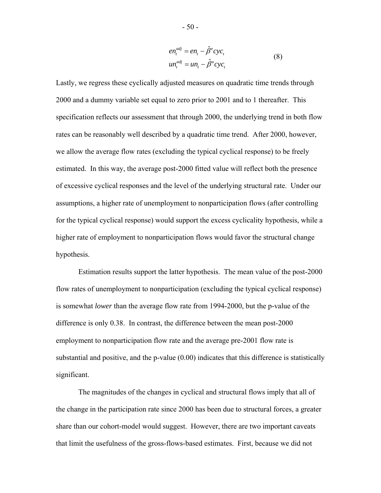$$
en_t^{adj} = en_t - \hat{\beta}^e cyc_t
$$
  

$$
un_t^{adj} = un_t - \hat{\beta}^u cyc_t
$$
 (8)

Lastly, we regress these cyclically adjusted measures on quadratic time trends through 2000 and a dummy variable set equal to zero prior to 2001 and to 1 thereafter. This specification reflects our assessment that through 2000, the underlying trend in both flow rates can be reasonably well described by a quadratic time trend. After 2000, however, we allow the average flow rates (excluding the typical cyclical response) to be freely estimated. In this way, the average post-2000 fitted value will reflect both the presence of excessive cyclical responses and the level of the underlying structural rate. Under our assumptions, a higher rate of unemployment to nonparticipation flows (after controlling for the typical cyclical response) would support the excess cyclicality hypothesis, while a higher rate of employment to nonparticipation flows would favor the structural change hypothesis.

Estimation results support the latter hypothesis. The mean value of the post-2000 flow rates of unemployment to nonparticipation (excluding the typical cyclical response) is somewhat *lower* than the average flow rate from 1994-2000, but the p-value of the difference is only 0.38. In contrast, the difference between the mean post-2000 employment to nonparticipation flow rate and the average pre-2001 flow rate is substantial and positive, and the p-value  $(0.00)$  indicates that this difference is statistically significant.

The magnitudes of the changes in cyclical and structural flows imply that all of the change in the participation rate since 2000 has been due to structural forces, a greater share than our cohort-model would suggest. However, there are two important caveats that limit the usefulness of the gross-flows-based estimates. First, because we did not

- 50 -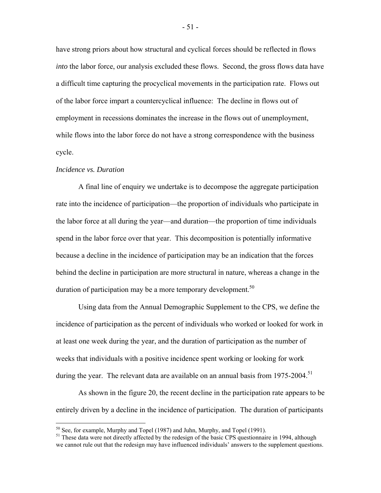have strong priors about how structural and cyclical forces should be reflected in flows *into* the labor force, our analysis excluded these flows. Second, the gross flows data have a difficult time capturing the procyclical movements in the participation rate. Flows out of the labor force impart a countercyclical influence: The decline in flows out of employment in recessions dominates the increase in the flows out of unemployment, while flows into the labor force do not have a strong correspondence with the business cycle.

#### *Incidence vs. Duration*

1

 A final line of enquiry we undertake is to decompose the aggregate participation rate into the incidence of participation—the proportion of individuals who participate in the labor force at all during the year—and duration—the proportion of time individuals spend in the labor force over that year. This decomposition is potentially informative because a decline in the incidence of participation may be an indication that the forces behind the decline in participation are more structural in nature, whereas a change in the duration of participation may be a more temporary development.<sup>50</sup>

 Using data from the Annual Demographic Supplement to the CPS, we define the incidence of participation as the percent of individuals who worked or looked for work in at least one week during the year, and the duration of participation as the number of weeks that individuals with a positive incidence spent working or looking for work during the year. The relevant data are available on an annual basis from 1975-2004.<sup>51</sup>

 As shown in the figure 20, the recent decline in the participation rate appears to be entirely driven by a decline in the incidence of participation. The duration of participants

 $50$  See, for example, Murphy and Topel (1987) and Juhn, Murphy, and Topel (1991).

<sup>&</sup>lt;sup>51</sup> These data were not directly affected by the redesign of the basic CPS questionnaire in 1994, although we cannot rule out that the redesign may have influenced individuals' answers to the supplement questions.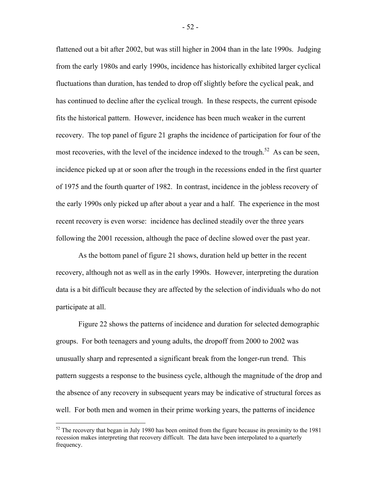flattened out a bit after 2002, but was still higher in 2004 than in the late 1990s. Judging from the early 1980s and early 1990s, incidence has historically exhibited larger cyclical fluctuations than duration, has tended to drop off slightly before the cyclical peak, and has continued to decline after the cyclical trough. In these respects, the current episode fits the historical pattern. However, incidence has been much weaker in the current recovery. The top panel of figure 21 graphs the incidence of participation for four of the most recoveries, with the level of the incidence indexed to the trough.<sup>52</sup> As can be seen, incidence picked up at or soon after the trough in the recessions ended in the first quarter of 1975 and the fourth quarter of 1982. In contrast, incidence in the jobless recovery of the early 1990s only picked up after about a year and a half. The experience in the most recent recovery is even worse: incidence has declined steadily over the three years following the 2001 recession, although the pace of decline slowed over the past year.

 As the bottom panel of figure 21 shows, duration held up better in the recent recovery, although not as well as in the early 1990s. However, interpreting the duration data is a bit difficult because they are affected by the selection of individuals who do not participate at all.

 Figure 22 shows the patterns of incidence and duration for selected demographic groups. For both teenagers and young adults, the dropoff from 2000 to 2002 was unusually sharp and represented a significant break from the longer-run trend. This pattern suggests a response to the business cycle, although the magnitude of the drop and the absence of any recovery in subsequent years may be indicative of structural forces as well. For both men and women in their prime working years, the patterns of incidence

 $\overline{a}$ 

- 52 -

 $52$  The recovery that began in July 1980 has been omitted from the figure because its proximity to the 1981 recession makes interpreting that recovery difficult. The data have been interpolated to a quarterly frequency.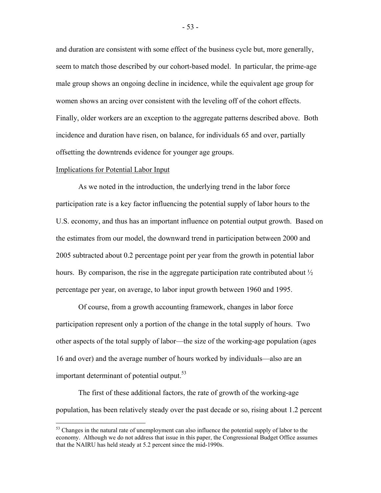and duration are consistent with some effect of the business cycle but, more generally, seem to match those described by our cohort-based model. In particular, the prime-age male group shows an ongoing decline in incidence, while the equivalent age group for women shows an arcing over consistent with the leveling off of the cohort effects. Finally, older workers are an exception to the aggregate patterns described above. Both incidence and duration have risen, on balance, for individuals 65 and over, partially offsetting the downtrends evidence for younger age groups.

## Implications for Potential Labor Input

 $\overline{a}$ 

 As we noted in the introduction, the underlying trend in the labor force participation rate is a key factor influencing the potential supply of labor hours to the U.S. economy, and thus has an important influence on potential output growth. Based on the estimates from our model, the downward trend in participation between 2000 and 2005 subtracted about 0.2 percentage point per year from the growth in potential labor hours. By comparison, the rise in the aggregate participation rate contributed about  $\frac{1}{2}$ percentage per year, on average, to labor input growth between 1960 and 1995.

 Of course, from a growth accounting framework, changes in labor force participation represent only a portion of the change in the total supply of hours. Two other aspects of the total supply of labor—the size of the working-age population (ages 16 and over) and the average number of hours worked by individuals—also are an important determinant of potential output. $53$ 

 The first of these additional factors, the rate of growth of the working-age population, has been relatively steady over the past decade or so, rising about 1.2 percent

<sup>&</sup>lt;sup>53</sup> Changes in the natural rate of unemployment can also influence the potential supply of labor to the economy. Although we do not address that issue in this paper, the Congressional Budget Office assumes that the NAIRU has held steady at 5.2 percent since the mid-1990s.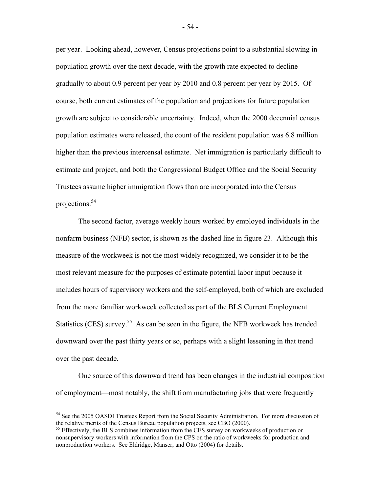per year. Looking ahead, however, Census projections point to a substantial slowing in population growth over the next decade, with the growth rate expected to decline gradually to about 0.9 percent per year by 2010 and 0.8 percent per year by 2015. Of course, both current estimates of the population and projections for future population growth are subject to considerable uncertainty. Indeed, when the 2000 decennial census population estimates were released, the count of the resident population was 6.8 million higher than the previous intercensal estimate. Net immigration is particularly difficult to estimate and project, and both the Congressional Budget Office and the Social Security Trustees assume higher immigration flows than are incorporated into the Census projections.54

 The second factor, average weekly hours worked by employed individuals in the nonfarm business (NFB) sector, is shown as the dashed line in figure 23. Although this measure of the workweek is not the most widely recognized, we consider it to be the most relevant measure for the purposes of estimate potential labor input because it includes hours of supervisory workers and the self-employed, both of which are excluded from the more familiar workweek collected as part of the BLS Current Employment Statistics (CES) survey.<sup>55</sup> As can be seen in the figure, the NFB workweek has trended downward over the past thirty years or so, perhaps with a slight lessening in that trend over the past decade.

 One source of this downward trend has been changes in the industrial composition of employment—most notably, the shift from manufacturing jobs that were frequently

1

<sup>&</sup>lt;sup>54</sup> See the 2005 OASDI Trustees Report from the Social Security Administration. For more discussion of the relative merits of the Census Bureau population projects, see CBO (2000).<br><sup>55</sup> Effectively, the BLS combines information from the CES survey on workweeks of production or

nonsupervisory workers with information from the CPS on the ratio of workweeks for production and nonproduction workers. See Eldridge, Manser, and Otto (2004) for details.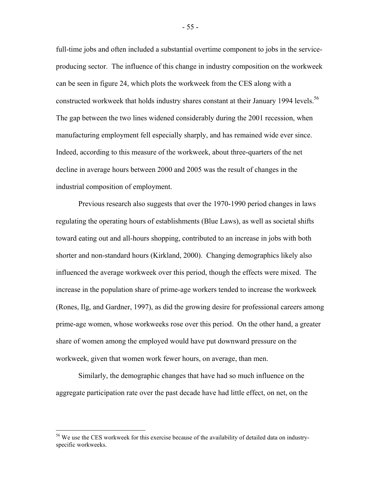full-time jobs and often included a substantial overtime component to jobs in the serviceproducing sector. The influence of this change in industry composition on the workweek can be seen in figure 24, which plots the workweek from the CES along with a constructed workweek that holds industry shares constant at their January 1994 levels.<sup>56</sup> The gap between the two lines widened considerably during the 2001 recession, when manufacturing employment fell especially sharply, and has remained wide ever since. Indeed, according to this measure of the workweek, about three-quarters of the net decline in average hours between 2000 and 2005 was the result of changes in the industrial composition of employment.

Previous research also suggests that over the 1970-1990 period changes in laws regulating the operating hours of establishments (Blue Laws), as well as societal shifts toward eating out and all-hours shopping, contributed to an increase in jobs with both shorter and non-standard hours (Kirkland, 2000). Changing demographics likely also influenced the average workweek over this period, though the effects were mixed. The increase in the population share of prime-age workers tended to increase the workweek (Rones, Ilg, and Gardner, 1997), as did the growing desire for professional careers among prime-age women, whose workweeks rose over this period. On the other hand, a greater share of women among the employed would have put downward pressure on the workweek, given that women work fewer hours, on average, than men.

 Similarly, the demographic changes that have had so much influence on the aggregate participation rate over the past decade have had little effect, on net, on the

1

<sup>&</sup>lt;sup>56</sup> We use the CES workweek for this exercise because of the availability of detailed data on industryspecific workweeks.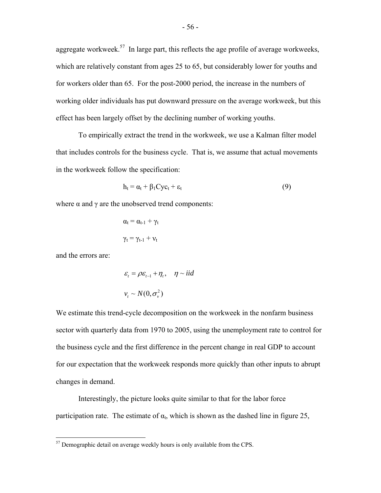aggregate workweek.<sup>57</sup> In large part, this reflects the age profile of average workweeks, which are relatively constant from ages 25 to 65, but considerably lower for youths and for workers older than 65. For the post-2000 period, the increase in the numbers of working older individuals has put downward pressure on the average workweek, but this effect has been largely offset by the declining number of working youths.

 To empirically extract the trend in the workweek, we use a Kalman filter model that includes controls for the business cycle. That is, we assume that actual movements in the workweek follow the specification:

$$
h_t = \alpha_t + \beta_1 C y c_t + \varepsilon_t \tag{9}
$$

where  $\alpha$  and  $\gamma$  are the unobserved trend components:

$$
\alpha_t = \alpha_{t-1} + \gamma_t
$$

$$
\gamma_t = \gamma_{t-1} + \nu_t
$$

and the errors are:

<u>.</u>

$$
\varepsilon_{t} = \rho \varepsilon_{t-1} + \eta_{t}, \quad \eta \sim \text{i}id
$$
  

$$
v_{t} \sim N(0, \sigma_{v}^{2})
$$

We estimate this trend-cycle decomposition on the workweek in the nonfarm business sector with quarterly data from 1970 to 2005, using the unemployment rate to control for the business cycle and the first difference in the percent change in real GDP to account for our expectation that the workweek responds more quickly than other inputs to abrupt changes in demand.

 Interestingly, the picture looks quite similar to that for the labor force participation rate. The estimate of  $\alpha_t$ , which is shown as the dashed line in figure 25,

 $57$  Demographic detail on average weekly hours is only available from the CPS.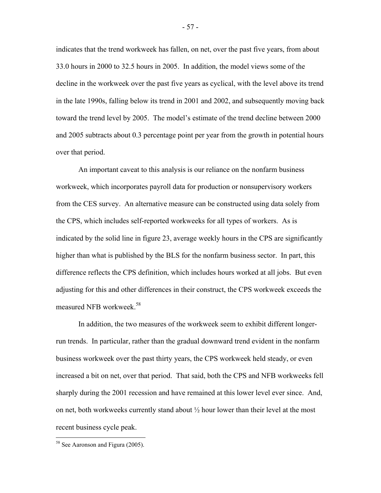indicates that the trend workweek has fallen, on net, over the past five years, from about 33.0 hours in 2000 to 32.5 hours in 2005. In addition, the model views some of the decline in the workweek over the past five years as cyclical, with the level above its trend in the late 1990s, falling below its trend in 2001 and 2002, and subsequently moving back toward the trend level by 2005. The model's estimate of the trend decline between 2000 and 2005 subtracts about 0.3 percentage point per year from the growth in potential hours over that period.

 An important caveat to this analysis is our reliance on the nonfarm business workweek, which incorporates payroll data for production or nonsupervisory workers from the CES survey. An alternative measure can be constructed using data solely from the CPS, which includes self-reported workweeks for all types of workers. As is indicated by the solid line in figure 23, average weekly hours in the CPS are significantly higher than what is published by the BLS for the nonfarm business sector. In part, this difference reflects the CPS definition, which includes hours worked at all jobs. But even adjusting for this and other differences in their construct, the CPS workweek exceeds the measured NFB workweek.<sup>58</sup>

 In addition, the two measures of the workweek seem to exhibit different longerrun trends. In particular, rather than the gradual downward trend evident in the nonfarm business workweek over the past thirty years, the CPS workweek held steady, or even increased a bit on net, over that period. That said, both the CPS and NFB workweeks fell sharply during the 2001 recession and have remained at this lower level ever since. And, on net, both workweeks currently stand about ½ hour lower than their level at the most recent business cycle peak.

 $\overline{a}$ 

<sup>&</sup>lt;sup>58</sup> See Aaronson and Figura (2005).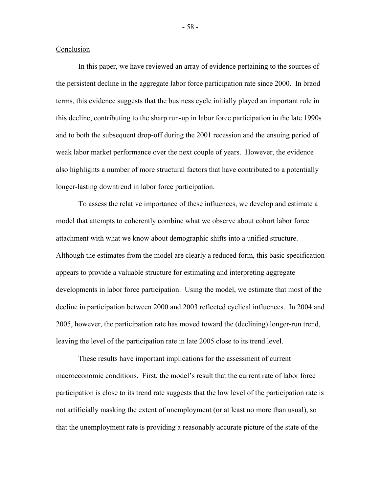## Conclusion

 In this paper, we have reviewed an array of evidence pertaining to the sources of the persistent decline in the aggregate labor force participation rate since 2000. In braod terms, this evidence suggests that the business cycle initially played an important role in this decline, contributing to the sharp run-up in labor force participation in the late 1990s and to both the subsequent drop-off during the 2001 recession and the ensuing period of weak labor market performance over the next couple of years. However, the evidence also highlights a number of more structural factors that have contributed to a potentially longer-lasting downtrend in labor force participation.

 To assess the relative importance of these influences, we develop and estimate a model that attempts to coherently combine what we observe about cohort labor force attachment with what we know about demographic shifts into a unified structure. Although the estimates from the model are clearly a reduced form, this basic specification appears to provide a valuable structure for estimating and interpreting aggregate developments in labor force participation. Using the model, we estimate that most of the decline in participation between 2000 and 2003 reflected cyclical influences. In 2004 and 2005, however, the participation rate has moved toward the (declining) longer-run trend, leaving the level of the participation rate in late 2005 close to its trend level.

 These results have important implications for the assessment of current macroeconomic conditions. First, the model's result that the current rate of labor force participation is close to its trend rate suggests that the low level of the participation rate is not artificially masking the extent of unemployment (or at least no more than usual), so that the unemployment rate is providing a reasonably accurate picture of the state of the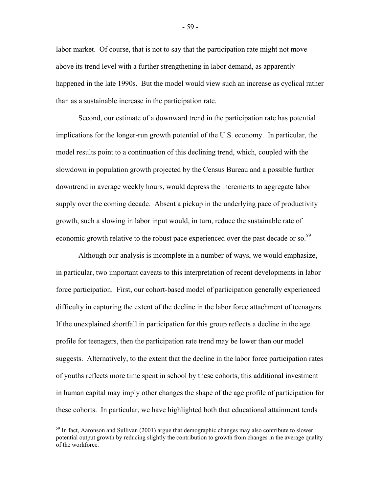labor market. Of course, that is not to say that the participation rate might not move above its trend level with a further strengthening in labor demand, as apparently happened in the late 1990s. But the model would view such an increase as cyclical rather than as a sustainable increase in the participation rate.

 Second, our estimate of a downward trend in the participation rate has potential implications for the longer-run growth potential of the U.S. economy. In particular, the model results point to a continuation of this declining trend, which, coupled with the slowdown in population growth projected by the Census Bureau and a possible further downtrend in average weekly hours, would depress the increments to aggregate labor supply over the coming decade. Absent a pickup in the underlying pace of productivity growth, such a slowing in labor input would, in turn, reduce the sustainable rate of economic growth relative to the robust pace experienced over the past decade or so.<sup>59</sup>

 Although our analysis is incomplete in a number of ways, we would emphasize, in particular, two important caveats to this interpretation of recent developments in labor force participation. First, our cohort-based model of participation generally experienced difficulty in capturing the extent of the decline in the labor force attachment of teenagers. If the unexplained shortfall in participation for this group reflects a decline in the age profile for teenagers, then the participation rate trend may be lower than our model suggests. Alternatively, to the extent that the decline in the labor force participation rates of youths reflects more time spent in school by these cohorts, this additional investment in human capital may imply other changes the shape of the age profile of participation for these cohorts. In particular, we have highlighted both that educational attainment tends

 $\overline{a}$ 

<sup>&</sup>lt;sup>59</sup> In fact, Aaronson and Sullivan (2001) argue that demographic changes may also contribute to slower potential output growth by reducing slightly the contribution to growth from changes in the average quality of the workforce.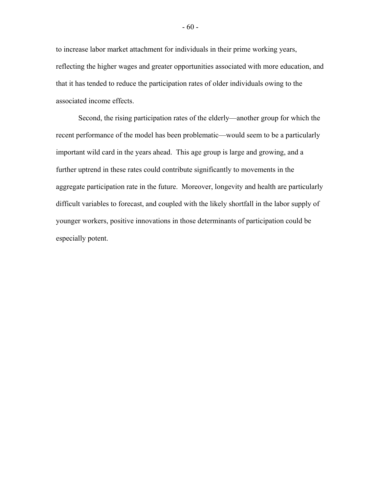to increase labor market attachment for individuals in their prime working years, reflecting the higher wages and greater opportunities associated with more education, and that it has tended to reduce the participation rates of older individuals owing to the associated income effects.

 Second, the rising participation rates of the elderly—another group for which the recent performance of the model has been problematic—would seem to be a particularly important wild card in the years ahead. This age group is large and growing, and a further uptrend in these rates could contribute significantly to movements in the aggregate participation rate in the future. Moreover, longevity and health are particularly difficult variables to forecast, and coupled with the likely shortfall in the labor supply of younger workers, positive innovations in those determinants of participation could be especially potent.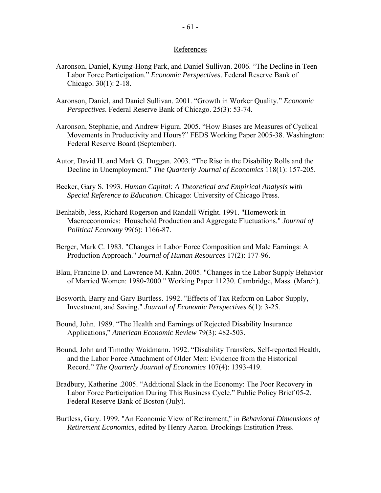# References

- Aaronson, Daniel, Kyung-Hong Park, and Daniel Sullivan. 2006. "The Decline in Teen Labor Force Participation." *Economic Perspectives*. Federal Reserve Bank of Chicago. 30(1): 2-18.
- Aaronson, Daniel, and Daniel Sullivan. 2001. "Growth in Worker Quality." *Economic Perspectives*. Federal Reserve Bank of Chicago. 25(3): 53-74.
- Aaronson, Stephanie, and Andrew Figura. 2005. "How Biases are Measures of Cyclical Movements in Productivity and Hours?" FEDS Working Paper 2005-38. Washington: Federal Reserve Board (September).
- Autor, David H. and Mark G. Duggan. 2003. "The Rise in the Disability Rolls and the Decline in Unemployment." *The Quarterly Journal of Economics* 118(1): 157-205.
- Becker, Gary S. 1993. *Human Capital: A Theoretical and Empirical Analysis with Special Reference to Education*. Chicago: University of Chicago Press.
- Benhabib, Jess, Richard Rogerson and Randall Wright. 1991. "Homework in Macroeconomics: Household Production and Aggregate Fluctuations." *Journal of Political Economy* 99(6): 1166-87.
- Berger, Mark C. 1983. "Changes in Labor Force Composition and Male Earnings: A Production Approach." *Journal of Human Resources* 17(2): 177-96.
- Blau, Francine D. and Lawrence M. Kahn. 2005. "Changes in the Labor Supply Behavior of Married Women: 1980-2000." Working Paper 11230. Cambridge, Mass. (March).
- Bosworth, Barry and Gary Burtless. 1992. "Effects of Tax Reform on Labor Supply, Investment, and Saving." *Journal of Economic Perspectives* 6(1): 3-25.
- Bound, John. 1989. "The Health and Earnings of Rejected Disability Insurance Applications," *American Economic Review* 79(3): 482-503.
- Bound, John and Timothy Waidmann. 1992. "Disability Transfers, Self-reported Health, and the Labor Force Attachment of Older Men: Evidence from the Historical Record." *The Quarterly Journal of Economics* 107(4): 1393-419.
- Bradbury, Katherine .2005. "Additional Slack in the Economy: The Poor Recovery in Labor Force Participation During This Business Cycle." Public Policy Brief 05-2. Federal Reserve Bank of Boston (July).
- Burtless, Gary. 1999. "An Economic View of Retirement," in *Behavioral Dimensions of Retirement Economics*, edited by Henry Aaron. Brookings Institution Press.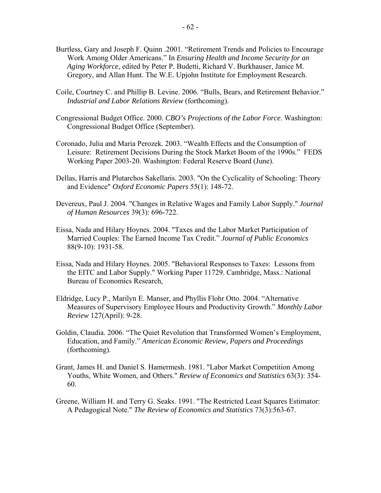- Burtless, Gary and Joseph F. Quinn .2001. "Retirement Trends and Policies to Encourage Work Among Older Americans." In *Ensuring Health and Income Security for an Aging Workforce*, edited by Peter P. Budetti, Richard V. Burkhauser, Janice M. Gregory, and Allan Hunt. The W.E. Upjohn Institute for Employment Research.
- Coile, Courtney C. and Phillip B. Levine. 2006. "Bulls, Bears, and Retirement Behavior." *Industrial and Labor Relations Review* (forthcoming)*.*
- Congressional Budget Office. 2000. *CBO's Projections of the Labor Force*. Washington: Congressional Budget Office (September).
- Coronado, Julia and Maria Perozek. 2003. "Wealth Effects and the Consumption of Leisure: Retirement Decisions During the Stock Market Boom of the 1990s." FEDS Working Paper 2003-20. Washington: Federal Reserve Board (June).
- Dellas, Harris and Plutarchos Sakellaris. 2003. "On the Cyclicality of Schooling: Theory and Evidence" *Oxford Economic Papers* 55(1): 148-72.
- Devereux, Paul J. 2004. "Changes in Relative Wages and Family Labor Supply." *Journal of Human Resources* 39(3): 696-722.
- Eissa, Nada and Hilary Hoynes. 2004. "Taxes and the Labor Market Participation of Married Couples: The Earned Income Tax Credit." *Journal of Public Economics* 88(9-10): 1931-58.
- Eissa, Nada and Hilary Hoynes. 2005. "Behavioral Responses to Taxes: Lessons from the EITC and Labor Supply." Working Paper 11729. Cambridge, Mass.: National Bureau of Economics Research,
- Eldridge, Lucy P., Marilyn E. Manser, and Phyllis Flohr Otto. 2004. "Alternative Measures of Supervisory Employee Hours and Productivity Growth." *Monthly Labor Review* 127(April): 9-28.
- Goldin, Claudia. 2006. "The Quiet Revolution that Transformed Women's Employment, Education, and Family." *American Economic Review, Papers and Proceedings* (forthcoming).
- Grant, James H. and Daniel S. Hamermesh. 1981. "Labor Market Competition Among Youths, White Women, and Others." *Review of Economics and Statistics* 63(3): 354- 60.
- Greene, William H. and Terry G. Seaks. 1991. "The Restricted Least Squares Estimator: A Pedagogical Note." *The Review of Economics and Statistics* 73(3):563-67.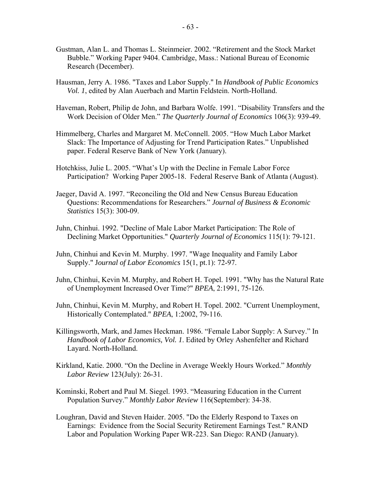- Gustman, Alan L. and Thomas L. Steinmeier. 2002. "Retirement and the Stock Market Bubble." Working Paper 9404. Cambridge, Mass.: National Bureau of Economic Research (December).
- Hausman, Jerry A. 1986. "Taxes and Labor Supply." In *Handbook of Public Economics Vol. 1*, edited by Alan Auerbach and Martin Feldstein. North-Holland.
- Haveman, Robert, Philip de John, and Barbara Wolfe. 1991. "Disability Transfers and the Work Decision of Older Men." *The Quarterly Journal of Economics* 106(3): 939-49.
- Himmelberg, Charles and Margaret M. McConnell. 2005. "How Much Labor Market Slack: The Importance of Adjusting for Trend Participation Rates." Unpublished paper. Federal Reserve Bank of New York (January).
- Hotchkiss, Julie L. 2005. "What's Up with the Decline in Female Labor Force Participation? Working Paper 2005-18. Federal Reserve Bank of Atlanta (August).
- Jaeger, David A. 1997. "Reconciling the Old and New Census Bureau Education Questions: Recommendations for Researchers." *Journal of Business & Economic Statistics* 15(3): 300-09.
- Juhn, Chinhui. 1992. "Decline of Male Labor Market Participation: The Role of Declining Market Opportunities." *Quarterly Journal of Economics* 115(1): 79-121.
- Juhn, Chinhui and Kevin M. Murphy. 1997. "Wage Inequality and Family Labor Supply." J*ournal of Labor Economics* 15(1, pt.1): 72-97.
- Juhn, Chinhui, Kevin M. Murphy, and Robert H. Topel. 1991. "Why has the Natural Rate of Unemployment Increased Over Time?" *BPEA*, 2:1991, 75-126.
- Juhn, Chinhui, Kevin M. Murphy, and Robert H. Topel. 2002. "Current Unemployment, Historically Contemplated." *BPEA*, 1:2002, 79-116.
- Killingsworth, Mark, and James Heckman. 1986. "Female Labor Supply: A Survey." In *Handbook of Labor Economics, Vol. 1*. Edited by Orley Ashenfelter and Richard Layard. North-Holland.
- Kirkland, Katie. 2000. "On the Decline in Average Weekly Hours Worked." *Monthly Labor Review* 123(July): 26-31.
- Kominski, Robert and Paul M. Siegel. 1993. "Measuring Education in the Current Population Survey." *Monthly Labor Review* 116(September): 34-38.
- Loughran, David and Steven Haider. 2005. "Do the Elderly Respond to Taxes on Earnings: Evidence from the Social Security Retirement Earnings Test." RAND Labor and Population Working Paper WR-223. San Diego: RAND (January).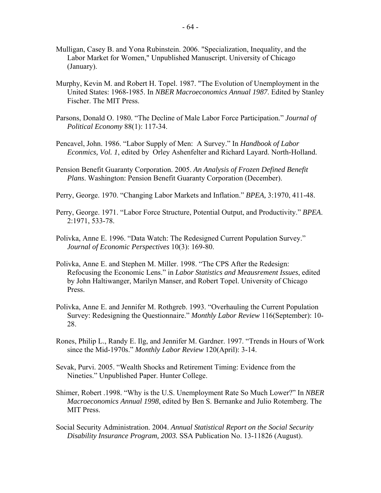- Mulligan, Casey B. and Yona Rubinstein. 2006. "Specialization, Inequality, and the Labor Market for Women," Unpublished Manuscript. University of Chicago (January).
- Murphy, Kevin M. and Robert H. Topel. 1987. "The Evolution of Unemployment in the United States: 1968-1985. In *NBER Macroeconomics Annual 1987*. Edited by Stanley Fischer. The MIT Press.
- Parsons, Donald O. 1980. "The Decline of Male Labor Force Participation." *Journal of Political Economy* 88(1): 117-34.
- Pencavel, John. 1986. "Labor Supply of Men: A Survey." In *Handbook of Labor Econmics, Vol. 1*, edited by Orley Ashenfelter and Richard Layard. North-Holland.
- Pension Benefit Guaranty Corporation. 2005. *An Analysis of Frozen Defined Benefit Plans*. Washington: Pension Benefit Guaranty Corporation (December).
- Perry, George. 1970. "Changing Labor Markets and Inflation." *BPEA,* 3:1970, 411-48.
- Perry, George. 1971. "Labor Force Structure, Potential Output, and Productivity." *BPEA*. 2:1971, 533-78.
- Polivka, Anne E. 1996. "Data Watch: The Redesigned Current Population Survey." *Journal of Economic Perspectives* 10(3): 169-80.
- Polivka, Anne E. and Stephen M. Miller. 1998. "The CPS After the Redesign: Refocusing the Economic Lens." in *Labor Statistics and Meausrement Issues*, edited by John Haltiwanger, Marilyn Manser, and Robert Topel. University of Chicago Press.
- Polivka, Anne E. and Jennifer M. Rothgreb. 1993. "Overhauling the Current Population Survey: Redesigning the Questionnaire." *Monthly Labor Review* 116(September): 10- 28.
- Rones, Philip L., Randy E. Ilg, and Jennifer M. Gardner. 1997. "Trends in Hours of Work since the Mid-1970s." *Monthly Labor Review* 120(April): 3-14.
- Sevak, Purvi. 2005. "Wealth Shocks and Retirement Timing: Evidence from the Nineties." Unpublished Paper. Hunter College.
- Shimer, Robert .1998. "Why is the U.S. Unemployment Rate So Much Lower?" In *NBER Macroeconomics Annual 1998*, edited by Ben S. Bernanke and Julio Rotemberg. The MIT Press.
- Social Security Administration. 2004. *Annual Statistical Report on the Social Security Disability Insurance Program, 2003.* SSA Publication No. 13-11826 (August).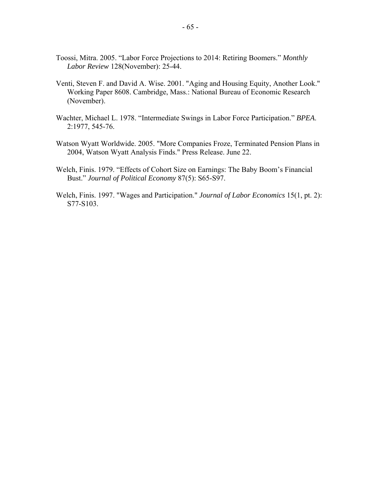- Toossi, Mitra. 2005. "Labor Force Projections to 2014: Retiring Boomers." *Monthly Labor Review* 128(November): 25-44.
- Venti, Steven F. and David A. Wise. 2001. "Aging and Housing Equity, Another Look." Working Paper 8608. Cambridge, Mass.: National Bureau of Economic Research (November).
- Wachter, Michael L. 1978. "Intermediate Swings in Labor Force Participation." *BPEA*. 2:1977, 545-76.
- Watson Wyatt Worldwide. 2005. "More Companies Froze, Terminated Pension Plans in 2004, Watson Wyatt Analysis Finds." Press Release. June 22.
- Welch, Finis. 1979. "Effects of Cohort Size on Earnings: The Baby Boom's Financial Bust." *Journal of Political Economy* 87(5): S65-S97.
- Welch, Finis. 1997. "Wages and Participation." *Journal of Labor Economics* 15(1, pt. 2): S77-S103.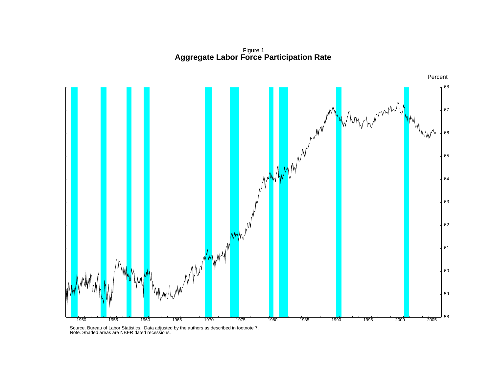Figure 1 **Aggregate Labor Force Participation Rate**



Source. Bureau of Labor Statistics. Data adjusted by the authors as described in footnote 7. Note. Shaded areas are NBER dated recessions.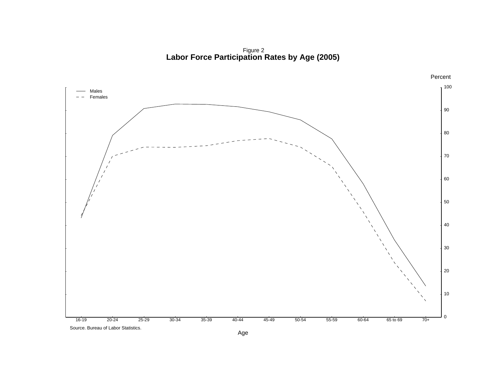Figure 2 **Labor Force Participation Rates by Age (2005)**

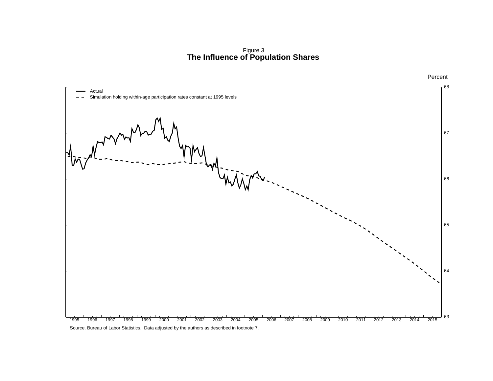Figure 3 **The Influence of Population Shares**

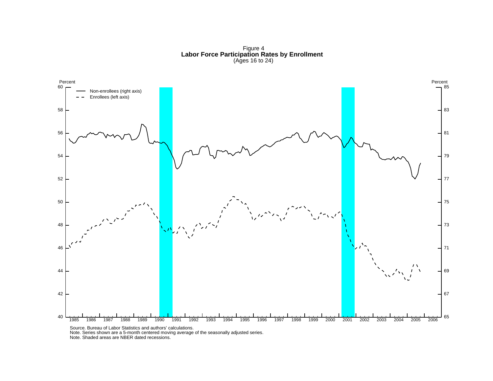Figure 4 **Labor Force Participation Rates by Enrollment** (Ages 16 to 24)



Source. Bureau of Labor Statistics and authors' calculations. Note. Series shown are a 5-month centered moving average of the seasonally adjusted series. Note. Shaded areas are NBER dated recessions.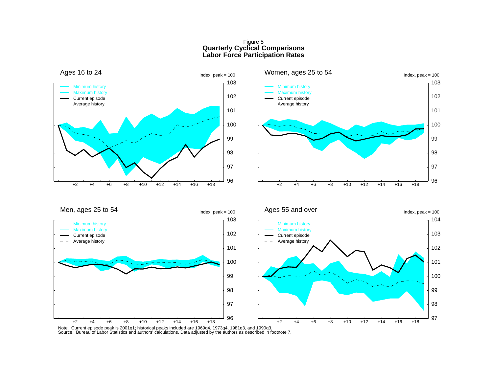# Figure 5 **Quarterly Cyclical Comparisons Labor Force Participation Rates**

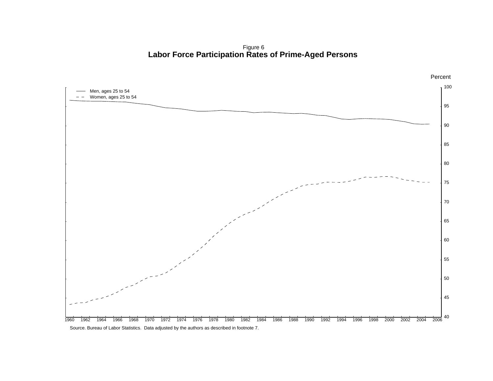Figure 6 **Labor Force Participation Rates of Prime-Aged Persons**

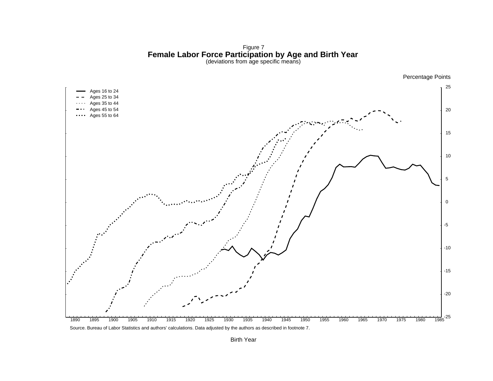Figure 7<br>**Female Labor Force Participation by Age and Birth Year**<br>(deviations from age specific means)



Birth Year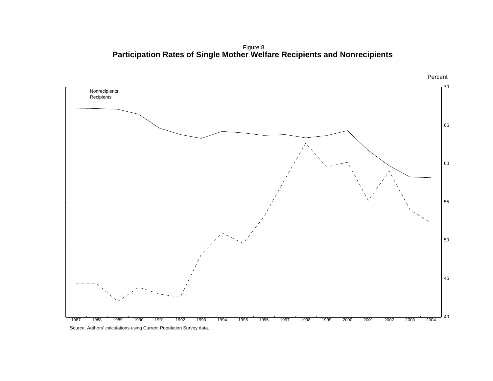Figure 8 **Participation Rates of Single Mother Welfare Recipients and Nonrecipients**

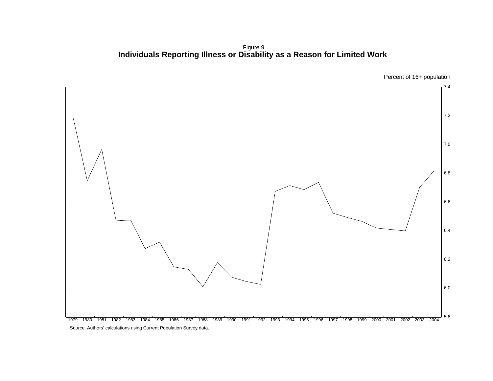Figure 9 **Individuals Reporting Illness or Disability as a Reason for Limited Work**

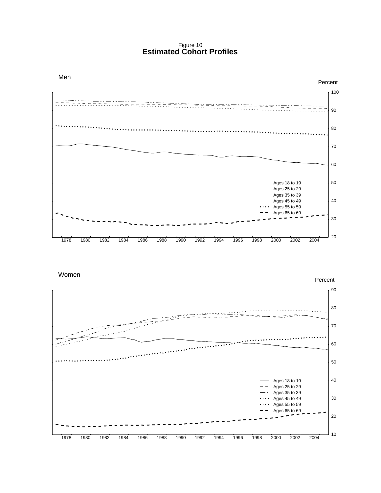Figure 10 **Estimated Cohort Profiles**



Women

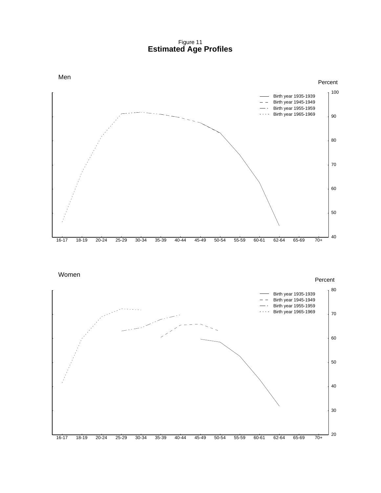Figure 11 **Estimated Age Profiles**



Women

16-17 18-19 20-24 25-29 30-34 35-39 40-44 45-49 50-54 55-59 60-61 62-64 65-69 70+ 20 30 40 50 60 70 80 Percent Birth year 1935-1939  $-$  Birth year 1945-1949 Birth year 1955-1959 Birth year 1965-1969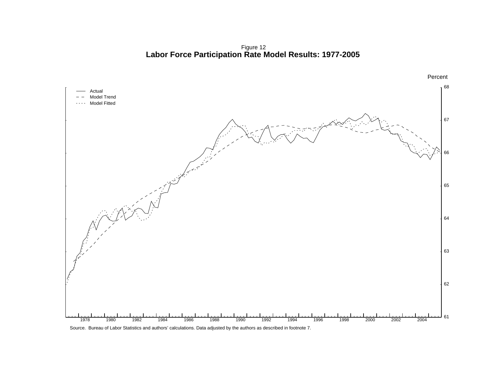Figure 12 **Labor Force Participation Rate Model Results: 1977-2005**



Source. Bureau of Labor Statistics and authors' calculations. Data adjusted by the authors as described in footnote 7.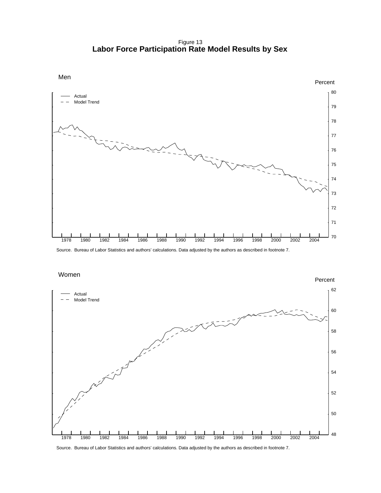Figure 13 **Labor Force Participation Rate Model Results by Sex**



Source. Bureau of Labor Statistics and authors' calculations. Data adjusted by the authors as described in footnote 7.

Women



Source. Bureau of Labor Statistics and authors' calculations. Data adjusted by the authors as described in footnote 7.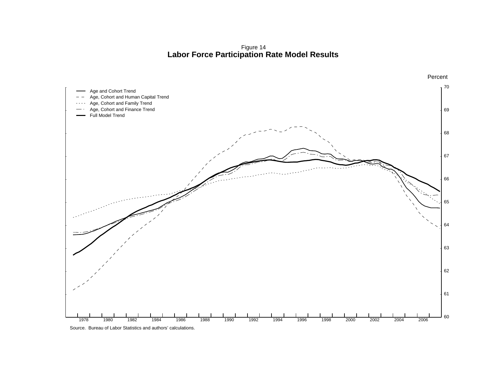Figure 14 **Labor Force Participation Rate Model Results**

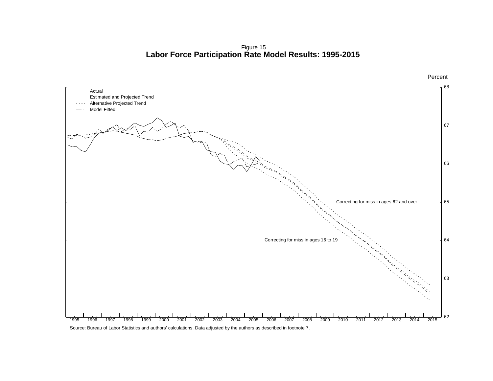Figure 15 **Labor Force Participation Rate Model Results: 1995-2015**



Percent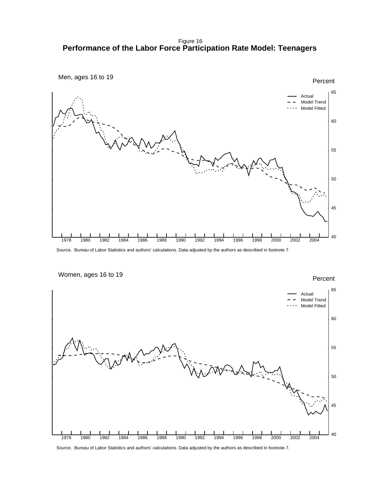Figure 16 **Performance of the Labor Force Participation Rate Model: Teenagers**



Source. Bureau of Labor Statistics and authors' calculations. Data adjusted by the authors as described in footnote 7.



Source. Bureau of Labor Statistics and authors' calculations. Data adjusted by the authors as described in footnote 7.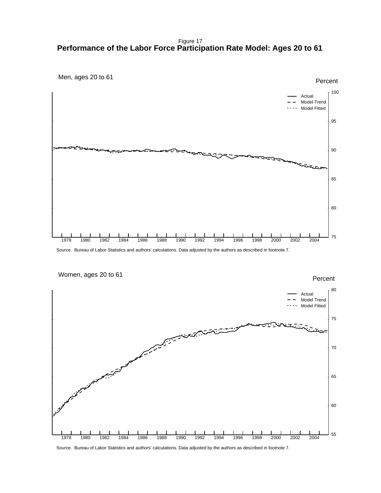Figure 17 **Performance of the Labor Force Participation Rate Model: Ages 20 to 61**



Source. Bureau of Labor Statistics and authors' calculations. Data adjusted by the authors as described in footnote 7.



Source. Bureau of Labor Statistics and authors' calculations. Data adjusted by the authors as described in footnote 7.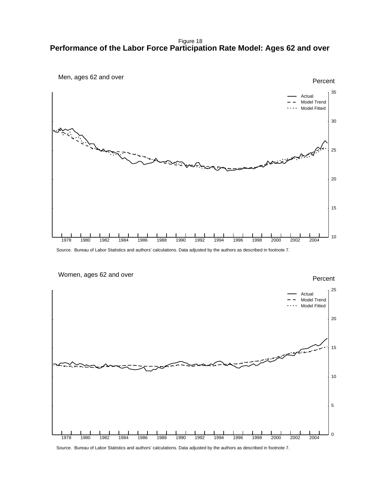Figure 18 **Performance of the Labor Force Participation Rate Model: Ages 62 and over**



Source. Bureau of Labor Statistics and authors' calculations. Data adjusted by the authors as described in footnote 7.



Source. Bureau of Labor Statistics and authors' calculations. Data adjusted by the authors as described in footnote 7.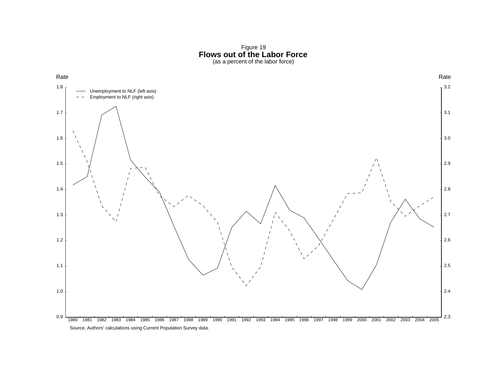Figure 19<br>**Flows out of the Labor Force**<br>(as a percent of the labor force)

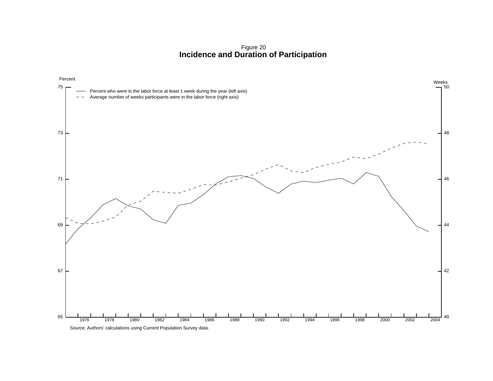Figure 20 **Incidence and Duration of Participation**

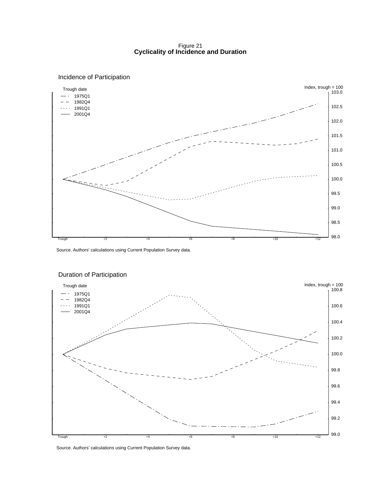Figure 21 **Cyclicality of Incidence and Duration**



#### Incidence of Participation

Source. Authors' calculations using Current Population Survey data.



#### Duration of Participation

Source. Authors' calculations using Current Population Survey data.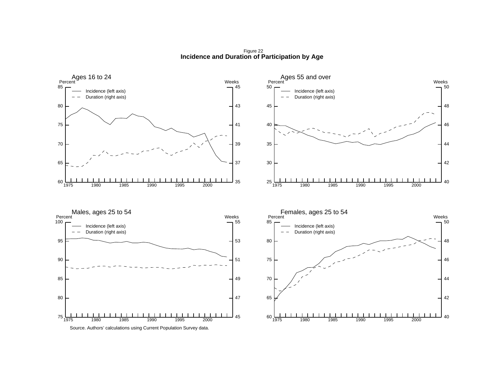Figure 22**Incidence and Duration of Participation by Age**

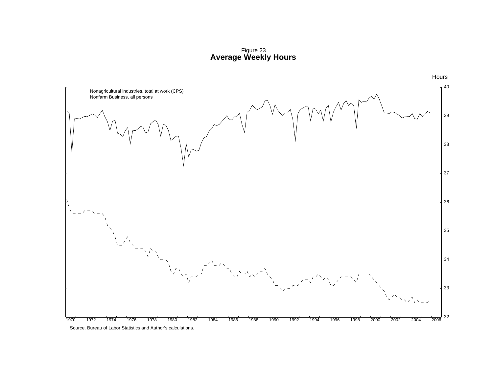Figure 23 **Average Weekly Hours**

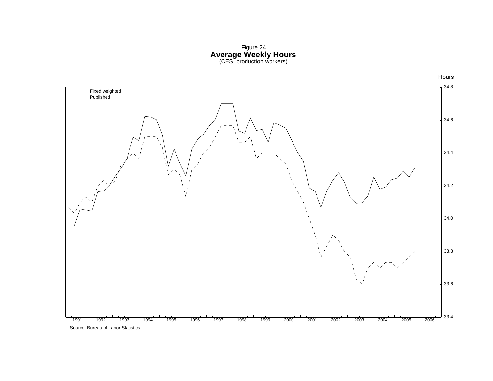Figure 24<br>**Average Weekly Hours**<br>(CES, production workers)

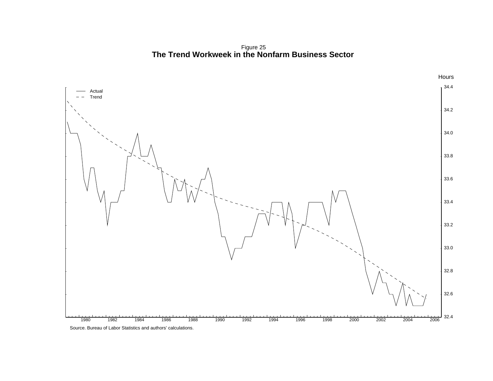Figure 25 **The Trend Workweek in the Nonfarm Business Sector**

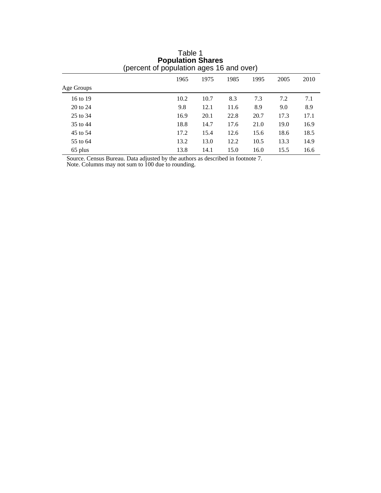| percent or population ages to and over) |      |      |      |      |      |      |  |  |
|-----------------------------------------|------|------|------|------|------|------|--|--|
|                                         | 1965 | 1975 | 1985 | 1995 | 2005 | 2010 |  |  |
| Age Groups                              |      |      |      |      |      |      |  |  |
| 16 to 19                                | 10.2 | 10.7 | 8.3  | 7.3  | 7.2  | 7.1  |  |  |
| 20 to 24                                | 9.8  | 12.1 | 11.6 | 8.9  | 9.0  | 8.9  |  |  |
| 25 to 34                                | 16.9 | 20.1 | 22.8 | 20.7 | 17.3 | 17.1 |  |  |
| 35 to 44                                | 18.8 | 14.7 | 17.6 | 21.0 | 19.0 | 16.9 |  |  |
| 45 to 54                                | 17.2 | 15.4 | 12.6 | 15.6 | 18.6 | 18.5 |  |  |
| 55 to 64                                | 13.2 | 13.0 | 12.2 | 10.5 | 13.3 | 14.9 |  |  |
| 65 plus                                 | 13.8 | 14.1 | 15.0 | 16.0 | 15.5 | 16.6 |  |  |

Table 1 **Population Shares** (percent of population ages 16 and over)

Source. Census Bureau. Data adjusted by the authors as described in footnote 7.

Note. Columns may not sum to 100 due to rounding.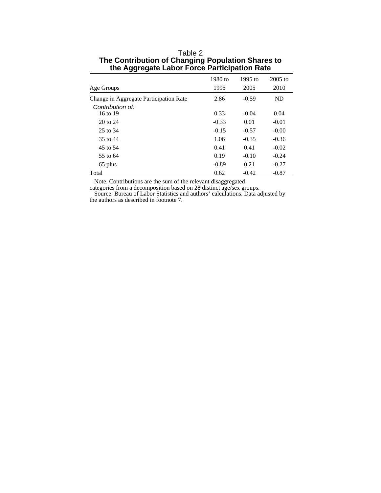|                                        | 1980 to | $1995$ to | $2005$ to |
|----------------------------------------|---------|-----------|-----------|
| Age Groups                             | 1995    | 2005      | 2010      |
| Change in Aggregate Participation Rate | 2.86    | $-0.59$   | ND        |
| Contribution of:                       |         |           |           |
| 16 to 19                               | 0.33    | $-0.04$   | 0.04      |
| 20 to 24                               | $-0.33$ | 0.01      | $-0.01$   |
| 25 to 34                               | $-0.15$ | $-0.57$   | $-0.00$   |
| 35 to 44                               | 1.06    | $-0.35$   | $-0.36$   |
| 45 to 54                               | 0.41    | 0.41      | $-0.02$   |
| 55 to 64                               | 0.19    | $-0.10$   | $-0.24$   |
| 65 plus                                | $-0.89$ | 0.21      | $-0.27$   |
| Total                                  | 0.62    | $-0.42$   | $-0.87$   |

## Table 2 **The Contribution of Changing Population Shares to the Aggregate Labor Force Participation Rate**

Note. Contributions are the sum of the relevant disaggregated

categories from a decomposition based on 28 distinct age/sex groups.

 Source. Bureau of Labor Statistics and authors' calculations. Data adjusted by the authors as described in footnote 7.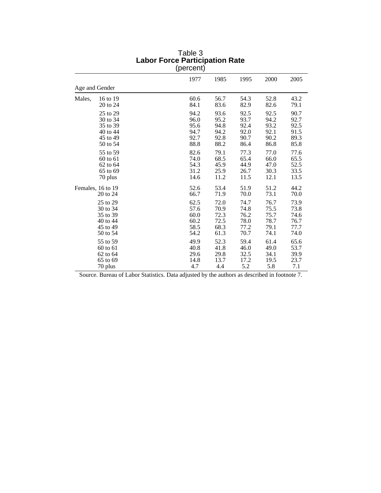|        |                                                                      | 11 | $\prime$                                     |                                              |                                              |                                              |                                              |
|--------|----------------------------------------------------------------------|----|----------------------------------------------|----------------------------------------------|----------------------------------------------|----------------------------------------------|----------------------------------------------|
|        |                                                                      |    | 1977                                         | 1985                                         | 1995                                         | 2000                                         | 2005                                         |
|        | Age and Gender                                                       |    |                                              |                                              |                                              |                                              |                                              |
| Males, | 16 to 19<br>20 to 24                                                 |    | 60.6<br>84.1                                 | 56.7<br>83.6                                 | 54.3<br>82.9                                 | 52.8<br>82.6                                 | 43.2<br>79.1                                 |
|        | 25 to 29<br>30 to 34<br>35 to 39<br>40 to 44<br>45 to 49<br>50 to 54 |    | 94.2<br>96.0<br>95.6<br>94.7<br>92.7<br>88.8 | 93.6<br>95.2<br>94.8<br>94.2<br>92.8<br>88.2 | 92.5<br>93.7<br>92.4<br>92.0<br>90.7<br>86.4 | 92.5<br>94.2<br>93.2<br>92.1<br>90.2<br>86.8 | 90.7<br>92.7<br>92.5<br>91.5<br>89.3<br>85.8 |
|        | 55 to 59<br>60 to 61<br>62 to 64<br>65 to 69<br>70 plus              |    | 82.6<br>74.0<br>54.3<br>31.2<br>14.6         | 79.1<br>68.5<br>45.9<br>25.9<br>11.2         | 77.3<br>65.4<br>44.9<br>26.7<br>11.5         | 77.0<br>66.0<br>47.0<br>30.3<br>12.1         | 77.6<br>65.5<br>52.5<br>33.5<br>13.5         |
|        | Females, 16 to 19<br>20 to 24                                        |    | 52.6<br>66.7                                 | 53.4<br>71.9                                 | 51.9<br>70.0                                 | 51.2<br>73.1                                 | 44.2<br>70.0                                 |
|        | 25 to 29<br>30 to 34<br>35 to 39<br>40 to 44<br>45 to 49<br>50 to 54 |    | 62.5<br>57.6<br>60.0<br>60.2<br>58.5<br>54.2 | 72.0<br>70.9<br>72.3<br>72.5<br>68.3<br>61.3 | 74.7<br>74.8<br>76.2<br>78.0<br>77.2<br>70.7 | 76.7<br>75.5<br>75.7<br>78.7<br>79.1<br>74.1 | 73.9<br>73.8<br>74.6<br>76.7<br>77.7<br>74.0 |
|        | 55 to 59<br>60 to 61<br>62 to 64<br>65 to 69<br>70 plus              |    | 49.9<br>40.8<br>29.6<br>14.8<br>4.7          | 52.3<br>41.8<br>29.8<br>13.7<br>4.4          | 59.4<br>46.0<br>32.5<br>17.2<br>5.2          | 61.4<br>49.0<br>34.1<br>19.5<br>5.8          | 65.6<br>53.7<br>39.9<br>23.7<br>7.1          |

### Table 3 **Labor Force Participation Rate** (percent)

Source. Bureau of Labor Statistics. Data adjusted by the authors as described in footnote 7.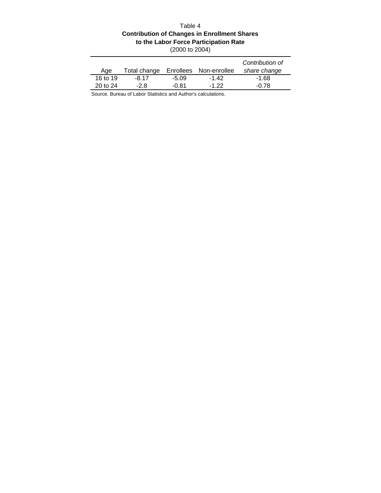# Table 4 **Contribution of Changes in Enrollment Shares to the Labor Force Participation Rate**

|          |              |         |                        | Contribution of |
|----------|--------------|---------|------------------------|-----------------|
| Age      | Total change |         | Enrollees Non-enrollee | share change    |
| 16 to 19 | -8.17        | $-5.09$ | $-1.42$                | $-1.68$         |
| 20 to 24 | -28          | -0.81   | $-1, 22$               | -0.78           |

Source. Bureau of Labor Statistics and Author's calculations.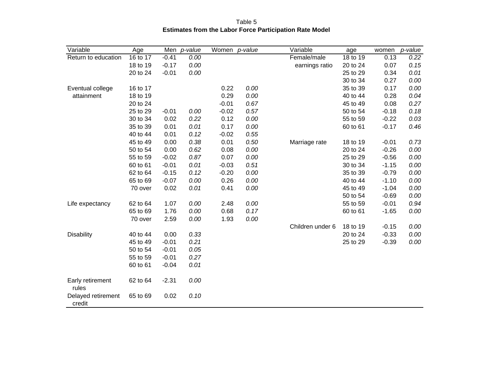| Variable                     | Age      |         | Men p-value | Women p-value |      | Variable         | age      | women   | p-value |
|------------------------------|----------|---------|-------------|---------------|------|------------------|----------|---------|---------|
| Return to education          | 16 to 17 | $-0.41$ | 0.00        |               |      | Female/male      | 18 to 19 | 0.13    | 0.22    |
|                              | 18 to 19 | $-0.17$ | 0.00        |               |      | earnings ratio   | 20 to 24 | 0.07    | 0.15    |
|                              | 20 to 24 | $-0.01$ | 0.00        |               |      |                  | 25 to 29 | 0.34    | 0.01    |
|                              |          |         |             |               |      |                  | 30 to 34 | 0.27    | 0.00    |
| Eventual college             | 16 to 17 |         |             | 0.22          | 0.00 |                  | 35 to 39 | 0.17    | 0.00    |
| attainment                   | 18 to 19 |         |             | 0.29          | 0.00 |                  | 40 to 44 | 0.28    | 0.04    |
|                              | 20 to 24 |         |             | $-0.01$       | 0.67 |                  | 45 to 49 | 0.08    | 0.27    |
|                              | 25 to 29 | $-0.01$ | 0.00        | $-0.02$       | 0.57 |                  | 50 to 54 | $-0.18$ | 0.18    |
|                              | 30 to 34 | 0.02    | 0.22        | 0.12          | 0.00 |                  | 55 to 59 | $-0.22$ | 0.03    |
|                              | 35 to 39 | 0.01    | 0.01        | 0.17          | 0.00 |                  | 60 to 61 | $-0.17$ | 0.46    |
|                              | 40 to 44 | 0.01    | 0.12        | $-0.02$       | 0.55 |                  |          |         |         |
|                              | 45 to 49 | 0.00    | 0.38        | 0.01          | 0.50 | Marriage rate    | 18 to 19 | $-0.01$ | 0.73    |
|                              | 50 to 54 | 0.00    | 0.62        | 0.08          | 0.00 |                  | 20 to 24 | $-0.26$ | 0.00    |
|                              | 55 to 59 | $-0.02$ | 0.87        | 0.07          | 0.00 |                  | 25 to 29 | $-0.56$ | 0.00    |
|                              | 60 to 61 | $-0.01$ | 0.01        | $-0.03$       | 0.51 |                  | 30 to 34 | $-1.15$ | 0.00    |
|                              | 62 to 64 | $-0.15$ | 0.12        | $-0.20$       | 0.00 |                  | 35 to 39 | $-0.79$ | 0.00    |
|                              | 65 to 69 | $-0.07$ | 0.00        | 0.26          | 0.00 |                  | 40 to 44 | $-1.10$ | 0.00    |
|                              | 70 over  | 0.02    | 0.01        | 0.41          | 0.00 |                  | 45 to 49 | $-1.04$ | 0.00    |
|                              |          |         |             |               |      |                  | 50 to 54 | $-0.69$ | 0.00    |
| Life expectancy              | 62 to 64 | 1.07    | 0.00        | 2.48          | 0.00 |                  | 55 to 59 | $-0.01$ | 0.94    |
|                              | 65 to 69 | 1.76    | 0.00        | 0.68          | 0.17 |                  | 60 to 61 | $-1.65$ | 0.00    |
|                              | 70 over  | 2.59    | 0.00        | 1.93          | 0.00 |                  |          |         |         |
|                              |          |         |             |               |      | Children under 6 | 18 to 19 | $-0.15$ | 0.00    |
| <b>Disability</b>            | 40 to 44 | 0.00    | 0.33        |               |      |                  | 20 to 24 | $-0.33$ | 0.00    |
|                              | 45 to 49 | $-0.01$ | 0.21        |               |      |                  | 25 to 29 | $-0.39$ | 0.00    |
|                              | 50 to 54 | $-0.01$ | 0.05        |               |      |                  |          |         |         |
|                              | 55 to 59 | $-0.01$ | 0.27        |               |      |                  |          |         |         |
|                              | 60 to 61 | $-0.04$ | 0.01        |               |      |                  |          |         |         |
| Early retirement<br>rules    | 62 to 64 | $-2.31$ | 0.00        |               |      |                  |          |         |         |
| Delayed retirement<br>credit | 65 to 69 | 0.02    | 0.10        |               |      |                  |          |         |         |

Table 5 **Estimates from the Labor Force Participation Rate Model**